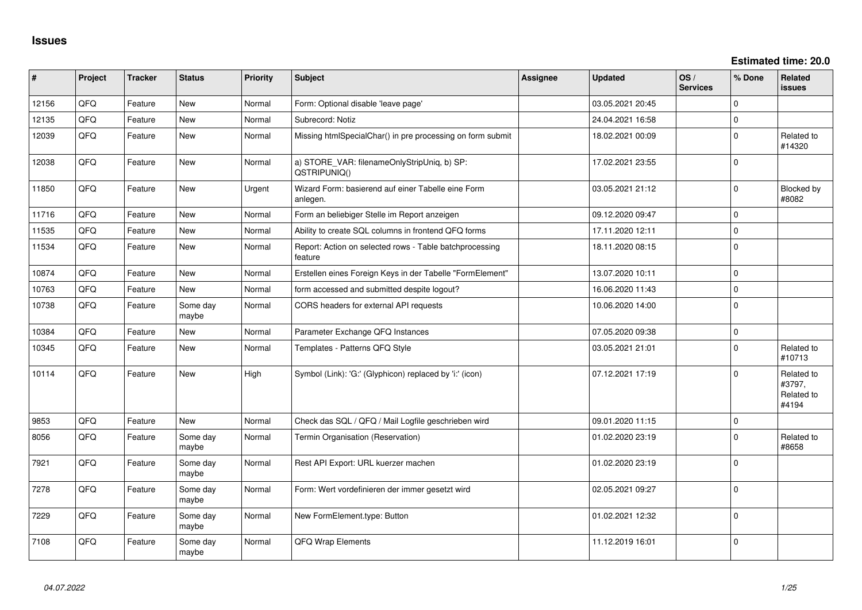**Estimated time: 20.0**

| ∦     | Project | <b>Tracker</b> | <b>Status</b>     | <b>Priority</b> | Subject                                                            | Assignee | <b>Updated</b>   | OS/<br><b>Services</b> | % Done      | <b>Related</b><br><b>issues</b>             |
|-------|---------|----------------|-------------------|-----------------|--------------------------------------------------------------------|----------|------------------|------------------------|-------------|---------------------------------------------|
| 12156 | QFQ     | Feature        | New               | Normal          | Form: Optional disable 'leave page'                                |          | 03.05.2021 20:45 |                        | $\Omega$    |                                             |
| 12135 | QFQ     | Feature        | <b>New</b>        | Normal          | Subrecord: Notiz                                                   |          | 24.04.2021 16:58 |                        | $\mathbf 0$ |                                             |
| 12039 | QFQ     | Feature        | New               | Normal          | Missing htmlSpecialChar() in pre processing on form submit         |          | 18.02.2021 00:09 |                        | $\mathbf 0$ | Related to<br>#14320                        |
| 12038 | QFQ     | Feature        | New               | Normal          | a) STORE_VAR: filenameOnlyStripUniq, b) SP:<br>QSTRIPUNIQ()        |          | 17.02.2021 23:55 |                        | $\Omega$    |                                             |
| 11850 | QFQ     | Feature        | New               | Urgent          | Wizard Form: basierend auf einer Tabelle eine Form<br>anlegen.     |          | 03.05.2021 21:12 |                        | $\Omega$    | Blocked by<br>#8082                         |
| 11716 | QFQ     | Feature        | <b>New</b>        | Normal          | Form an beliebiger Stelle im Report anzeigen                       |          | 09.12.2020 09:47 |                        | $\Omega$    |                                             |
| 11535 | QFQ     | Feature        | <b>New</b>        | Normal          | Ability to create SQL columns in frontend QFQ forms                |          | 17.11.2020 12:11 |                        | $\mathbf 0$ |                                             |
| 11534 | QFQ     | Feature        | New               | Normal          | Report: Action on selected rows - Table batchprocessing<br>feature |          | 18.11.2020 08:15 |                        | $\mathbf 0$ |                                             |
| 10874 | QFQ     | Feature        | New               | Normal          | Erstellen eines Foreign Keys in der Tabelle "FormElement"          |          | 13.07.2020 10:11 |                        | $\Omega$    |                                             |
| 10763 | QFQ     | Feature        | <b>New</b>        | Normal          | form accessed and submitted despite logout?                        |          | 16.06.2020 11:43 |                        | $\Omega$    |                                             |
| 10738 | QFQ     | Feature        | Some day<br>maybe | Normal          | CORS headers for external API requests                             |          | 10.06.2020 14:00 |                        | $\mathbf 0$ |                                             |
| 10384 | QFQ     | Feature        | <b>New</b>        | Normal          | Parameter Exchange QFQ Instances                                   |          | 07.05.2020 09:38 |                        | $\mathbf 0$ |                                             |
| 10345 | QFQ     | Feature        | New               | Normal          | Templates - Patterns QFQ Style                                     |          | 03.05.2021 21:01 |                        | $\mathbf 0$ | Related to<br>#10713                        |
| 10114 | QFQ     | Feature        | New               | High            | Symbol (Link): 'G:' (Glyphicon) replaced by 'i:' (icon)            |          | 07.12.2021 17:19 |                        | $\Omega$    | Related to<br>#3797,<br>Related to<br>#4194 |
| 9853  | QFQ     | Feature        | <b>New</b>        | Normal          | Check das SQL / QFQ / Mail Logfile geschrieben wird                |          | 09.01.2020 11:15 |                        | $\mathbf 0$ |                                             |
| 8056  | QFQ     | Feature        | Some day<br>maybe | Normal          | Termin Organisation (Reservation)                                  |          | 01.02.2020 23:19 |                        | $\Omega$    | Related to<br>#8658                         |
| 7921  | QFQ     | Feature        | Some day<br>maybe | Normal          | Rest API Export: URL kuerzer machen                                |          | 01.02.2020 23:19 |                        | $\Omega$    |                                             |
| 7278  | QFQ     | Feature        | Some day<br>maybe | Normal          | Form: Wert vordefinieren der immer gesetzt wird                    |          | 02.05.2021 09:27 |                        | $\Omega$    |                                             |
| 7229  | QFQ     | Feature        | Some day<br>maybe | Normal          | New FormElement.type: Button                                       |          | 01.02.2021 12:32 |                        | $\Omega$    |                                             |
| 7108  | QFQ     | Feature        | Some day<br>maybe | Normal          | QFQ Wrap Elements                                                  |          | 11.12.2019 16:01 |                        | $\Omega$    |                                             |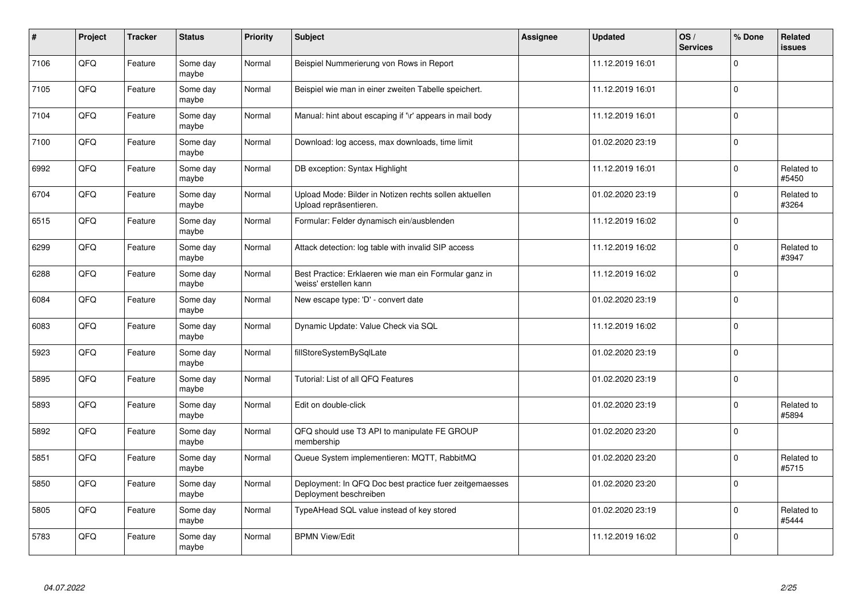| $\pmb{\#}$ | Project | <b>Tracker</b> | <b>Status</b>     | <b>Priority</b> | <b>Subject</b>                                                                    | <b>Assignee</b> | <b>Updated</b>   | OS/<br><b>Services</b> | % Done       | Related<br><b>issues</b> |
|------------|---------|----------------|-------------------|-----------------|-----------------------------------------------------------------------------------|-----------------|------------------|------------------------|--------------|--------------------------|
| 7106       | QFQ     | Feature        | Some day<br>maybe | Normal          | Beispiel Nummerierung von Rows in Report                                          |                 | 11.12.2019 16:01 |                        | $\mathbf 0$  |                          |
| 7105       | QFQ     | Feature        | Some day<br>maybe | Normal          | Beispiel wie man in einer zweiten Tabelle speichert.                              |                 | 11.12.2019 16:01 |                        | $\mathbf{0}$ |                          |
| 7104       | QFQ     | Feature        | Some day<br>maybe | Normal          | Manual: hint about escaping if '\r' appears in mail body                          |                 | 11.12.2019 16:01 |                        | $\mathbf 0$  |                          |
| 7100       | QFQ     | Feature        | Some day<br>maybe | Normal          | Download: log access, max downloads, time limit                                   |                 | 01.02.2020 23:19 |                        | $\Omega$     |                          |
| 6992       | QFQ     | Feature        | Some day<br>maybe | Normal          | DB exception: Syntax Highlight                                                    |                 | 11.12.2019 16:01 |                        | $\mathbf{0}$ | Related to<br>#5450      |
| 6704       | QFQ     | Feature        | Some day<br>maybe | Normal          | Upload Mode: Bilder in Notizen rechts sollen aktuellen<br>Upload repräsentieren.  |                 | 01.02.2020 23:19 |                        | $\Omega$     | Related to<br>#3264      |
| 6515       | QFQ     | Feature        | Some day<br>maybe | Normal          | Formular: Felder dynamisch ein/ausblenden                                         |                 | 11.12.2019 16:02 |                        | $\mathbf{0}$ |                          |
| 6299       | QFQ     | Feature        | Some day<br>maybe | Normal          | Attack detection: log table with invalid SIP access                               |                 | 11.12.2019 16:02 |                        | $\Omega$     | Related to<br>#3947      |
| 6288       | QFQ     | Feature        | Some day<br>maybe | Normal          | Best Practice: Erklaeren wie man ein Formular ganz in<br>'weiss' erstellen kann   |                 | 11.12.2019 16:02 |                        | $\Omega$     |                          |
| 6084       | QFQ     | Feature        | Some day<br>maybe | Normal          | New escape type: 'D' - convert date                                               |                 | 01.02.2020 23:19 |                        | $\mathbf 0$  |                          |
| 6083       | QFQ     | Feature        | Some day<br>maybe | Normal          | Dynamic Update: Value Check via SQL                                               |                 | 11.12.2019 16:02 |                        | $\mathbf 0$  |                          |
| 5923       | QFQ     | Feature        | Some day<br>maybe | Normal          | fillStoreSystemBySqlLate                                                          |                 | 01.02.2020 23:19 |                        | $\mathbf 0$  |                          |
| 5895       | QFQ     | Feature        | Some day<br>maybe | Normal          | Tutorial: List of all QFQ Features                                                |                 | 01.02.2020 23:19 |                        | $\mathbf 0$  |                          |
| 5893       | QFQ     | Feature        | Some day<br>maybe | Normal          | Edit on double-click                                                              |                 | 01.02.2020 23:19 |                        | $\mathbf 0$  | Related to<br>#5894      |
| 5892       | QFQ     | Feature        | Some day<br>maybe | Normal          | QFQ should use T3 API to manipulate FE GROUP<br>membership                        |                 | 01.02.2020 23:20 |                        | $\Omega$     |                          |
| 5851       | QFQ     | Feature        | Some day<br>maybe | Normal          | Queue System implementieren: MQTT, RabbitMQ                                       |                 | 01.02.2020 23:20 |                        | $\mathbf{0}$ | Related to<br>#5715      |
| 5850       | QFQ     | Feature        | Some day<br>maybe | Normal          | Deployment: In QFQ Doc best practice fuer zeitgemaesses<br>Deployment beschreiben |                 | 01.02.2020 23:20 |                        | $\mathbf 0$  |                          |
| 5805       | QFQ     | Feature        | Some day<br>maybe | Normal          | TypeAHead SQL value instead of key stored                                         |                 | 01.02.2020 23:19 |                        | $\pmb{0}$    | Related to<br>#5444      |
| 5783       | QFQ     | Feature        | Some day<br>maybe | Normal          | <b>BPMN View/Edit</b>                                                             |                 | 11.12.2019 16:02 |                        | $\Omega$     |                          |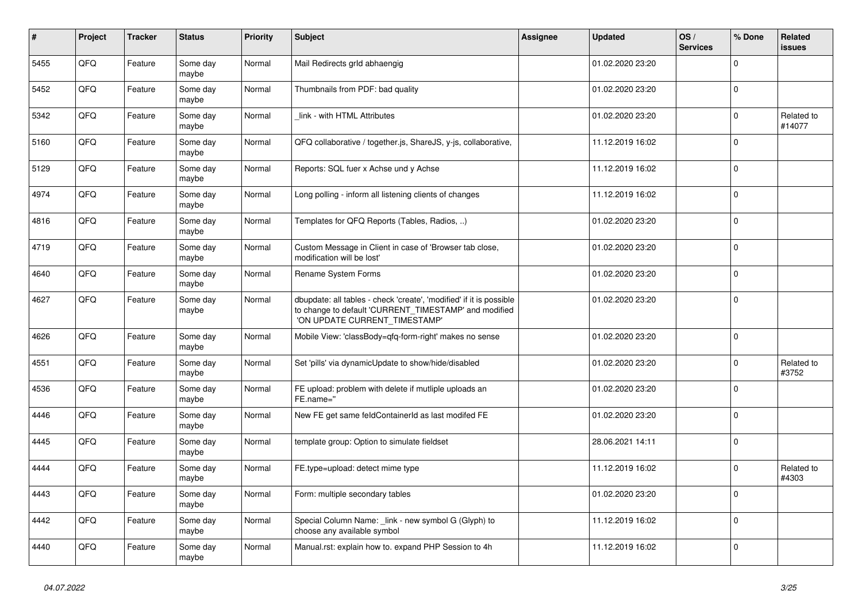| #    | Project | <b>Tracker</b> | <b>Status</b>     | <b>Priority</b> | <b>Subject</b>                                                                                                                                                | <b>Assignee</b> | <b>Updated</b>   | OS/<br><b>Services</b> | % Done      | Related<br><b>issues</b> |
|------|---------|----------------|-------------------|-----------------|---------------------------------------------------------------------------------------------------------------------------------------------------------------|-----------------|------------------|------------------------|-------------|--------------------------|
| 5455 | QFQ     | Feature        | Some day<br>maybe | Normal          | Mail Redirects grld abhaengig                                                                                                                                 |                 | 01.02.2020 23:20 |                        | $\Omega$    |                          |
| 5452 | QFQ     | Feature        | Some day<br>maybe | Normal          | Thumbnails from PDF: bad quality                                                                                                                              |                 | 01.02.2020 23:20 |                        | $\mathbf 0$ |                          |
| 5342 | QFQ     | Feature        | Some day<br>maybe | Normal          | link - with HTML Attributes                                                                                                                                   |                 | 01.02.2020 23:20 |                        | $\mathbf 0$ | Related to<br>#14077     |
| 5160 | QFQ     | Feature        | Some day<br>maybe | Normal          | QFQ collaborative / together.js, ShareJS, y-js, collaborative,                                                                                                |                 | 11.12.2019 16:02 |                        | $\mathbf 0$ |                          |
| 5129 | QFQ     | Feature        | Some day<br>maybe | Normal          | Reports: SQL fuer x Achse und y Achse                                                                                                                         |                 | 11.12.2019 16:02 |                        | $\mathsf 0$ |                          |
| 4974 | QFQ     | Feature        | Some day<br>maybe | Normal          | Long polling - inform all listening clients of changes                                                                                                        |                 | 11.12.2019 16:02 |                        | $\mathbf 0$ |                          |
| 4816 | QFQ     | Feature        | Some day<br>maybe | Normal          | Templates for QFQ Reports (Tables, Radios, )                                                                                                                  |                 | 01.02.2020 23:20 |                        | $\mathbf 0$ |                          |
| 4719 | QFQ     | Feature        | Some day<br>maybe | Normal          | Custom Message in Client in case of 'Browser tab close,<br>modification will be lost'                                                                         |                 | 01.02.2020 23:20 |                        | $\mathbf 0$ |                          |
| 4640 | QFQ     | Feature        | Some day<br>maybe | Normal          | Rename System Forms                                                                                                                                           |                 | 01.02.2020 23:20 |                        | $\mathbf 0$ |                          |
| 4627 | QFQ     | Feature        | Some day<br>maybe | Normal          | dbupdate: all tables - check 'create', 'modified' if it is possible<br>to change to default 'CURRENT_TIMESTAMP' and modified<br>'ON UPDATE CURRENT_TIMESTAMP' |                 | 01.02.2020 23:20 |                        | $\mathbf 0$ |                          |
| 4626 | QFQ     | Feature        | Some day<br>maybe | Normal          | Mobile View: 'classBody=qfq-form-right' makes no sense                                                                                                        |                 | 01.02.2020 23:20 |                        | $\Omega$    |                          |
| 4551 | QFQ     | Feature        | Some day<br>maybe | Normal          | Set 'pills' via dynamicUpdate to show/hide/disabled                                                                                                           |                 | 01.02.2020 23:20 |                        | $\mathbf 0$ | Related to<br>#3752      |
| 4536 | QFQ     | Feature        | Some day<br>maybe | Normal          | FE upload: problem with delete if mutliple uploads an<br>FE.name="                                                                                            |                 | 01.02.2020 23:20 |                        | $\mathbf 0$ |                          |
| 4446 | QFQ     | Feature        | Some day<br>maybe | Normal          | New FE get same feldContainerId as last modifed FE                                                                                                            |                 | 01.02.2020 23:20 |                        | $\mathbf 0$ |                          |
| 4445 | QFQ     | Feature        | Some day<br>maybe | Normal          | template group: Option to simulate fieldset                                                                                                                   |                 | 28.06.2021 14:11 |                        | $\mathsf 0$ |                          |
| 4444 | QFQ     | Feature        | Some day<br>maybe | Normal          | FE.type=upload: detect mime type                                                                                                                              |                 | 11.12.2019 16:02 |                        | $\mathsf 0$ | Related to<br>#4303      |
| 4443 | QFQ     | Feature        | Some day<br>maybe | Normal          | Form: multiple secondary tables                                                                                                                               |                 | 01.02.2020 23:20 |                        | $\Omega$    |                          |
| 4442 | QFQ     | Feature        | Some day<br>maybe | Normal          | Special Column Name: _link - new symbol G (Glyph) to<br>choose any available symbol                                                                           |                 | 11.12.2019 16:02 |                        | $\mathbf 0$ |                          |
| 4440 | QFQ     | Feature        | Some day<br>maybe | Normal          | Manual.rst: explain how to. expand PHP Session to 4h                                                                                                          |                 | 11.12.2019 16:02 |                        | $\mathbf 0$ |                          |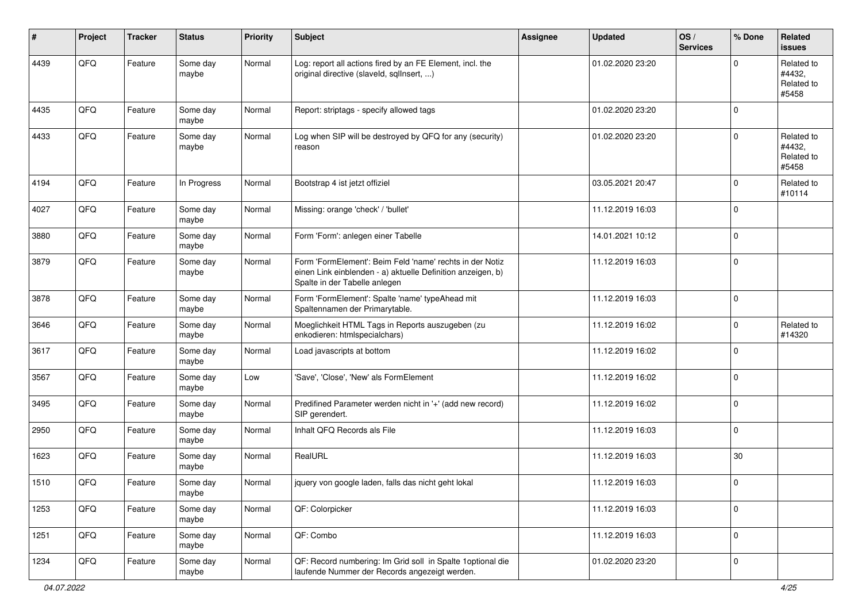| #    | Project | <b>Tracker</b> | <b>Status</b>     | <b>Priority</b> | <b>Subject</b>                                                                                                                                           | Assignee | <b>Updated</b>   | OS/<br><b>Services</b> | % Done      | Related<br><b>issues</b>                    |
|------|---------|----------------|-------------------|-----------------|----------------------------------------------------------------------------------------------------------------------------------------------------------|----------|------------------|------------------------|-------------|---------------------------------------------|
| 4439 | QFQ     | Feature        | Some day<br>maybe | Normal          | Log: report all actions fired by an FE Element, incl. the<br>original directive (slaveld, sqlInsert, )                                                   |          | 01.02.2020 23:20 |                        | $\Omega$    | Related to<br>#4432,<br>Related to<br>#5458 |
| 4435 | QFQ     | Feature        | Some day<br>maybe | Normal          | Report: striptags - specify allowed tags                                                                                                                 |          | 01.02.2020 23:20 |                        | $\Omega$    |                                             |
| 4433 | QFQ     | Feature        | Some day<br>maybe | Normal          | Log when SIP will be destroyed by QFQ for any (security)<br>reason                                                                                       |          | 01.02.2020 23:20 |                        | $\Omega$    | Related to<br>#4432,<br>Related to<br>#5458 |
| 4194 | QFQ     | Feature        | In Progress       | Normal          | Bootstrap 4 ist jetzt offiziel                                                                                                                           |          | 03.05.2021 20:47 |                        | $\Omega$    | Related to<br>#10114                        |
| 4027 | QFQ     | Feature        | Some day<br>maybe | Normal          | Missing: orange 'check' / 'bullet'                                                                                                                       |          | 11.12.2019 16:03 |                        | $\Omega$    |                                             |
| 3880 | QFQ     | Feature        | Some day<br>maybe | Normal          | Form 'Form': anlegen einer Tabelle                                                                                                                       |          | 14.01.2021 10:12 |                        | $\mathbf 0$ |                                             |
| 3879 | QFQ     | Feature        | Some day<br>maybe | Normal          | Form 'FormElement': Beim Feld 'name' rechts in der Notiz<br>einen Link einblenden - a) aktuelle Definition anzeigen, b)<br>Spalte in der Tabelle anlegen |          | 11.12.2019 16:03 |                        | $\mathbf 0$ |                                             |
| 3878 | QFQ     | Feature        | Some day<br>maybe | Normal          | Form 'FormElement': Spalte 'name' typeAhead mit<br>Spaltennamen der Primarytable.                                                                        |          | 11.12.2019 16:03 |                        | $\mathbf 0$ |                                             |
| 3646 | QFQ     | Feature        | Some day<br>maybe | Normal          | Moeglichkeit HTML Tags in Reports auszugeben (zu<br>enkodieren: htmlspecialchars)                                                                        |          | 11.12.2019 16:02 |                        | $\mathbf 0$ | Related to<br>#14320                        |
| 3617 | QFQ     | Feature        | Some day<br>maybe | Normal          | Load javascripts at bottom                                                                                                                               |          | 11.12.2019 16:02 |                        | $\Omega$    |                                             |
| 3567 | QFQ     | Feature        | Some day<br>maybe | Low             | 'Save', 'Close', 'New' als FormElement                                                                                                                   |          | 11.12.2019 16:02 |                        | $\Omega$    |                                             |
| 3495 | QFQ     | Feature        | Some day<br>maybe | Normal          | Predifined Parameter werden nicht in '+' (add new record)<br>SIP gerendert.                                                                              |          | 11.12.2019 16:02 |                        | $\Omega$    |                                             |
| 2950 | QFQ     | Feature        | Some day<br>maybe | Normal          | Inhalt QFQ Records als File                                                                                                                              |          | 11.12.2019 16:03 |                        | $\mathbf 0$ |                                             |
| 1623 | QFQ     | Feature        | Some day<br>maybe | Normal          | RealURL                                                                                                                                                  |          | 11.12.2019 16:03 |                        | $30\,$      |                                             |
| 1510 | QFQ     | Feature        | Some day<br>maybe | Normal          | jquery von google laden, falls das nicht geht lokal                                                                                                      |          | 11.12.2019 16:03 |                        | 0           |                                             |
| 1253 | QFQ     | Feature        | Some day<br>maybe | Normal          | QF: Colorpicker                                                                                                                                          |          | 11.12.2019 16:03 |                        | $\mathbf 0$ |                                             |
| 1251 | QFQ     | Feature        | Some day<br>maybe | Normal          | QF: Combo                                                                                                                                                |          | 11.12.2019 16:03 |                        | 0           |                                             |
| 1234 | QFQ     | Feature        | Some day<br>maybe | Normal          | QF: Record numbering: Im Grid soll in Spalte 1optional die<br>laufende Nummer der Records angezeigt werden.                                              |          | 01.02.2020 23:20 |                        | 0           |                                             |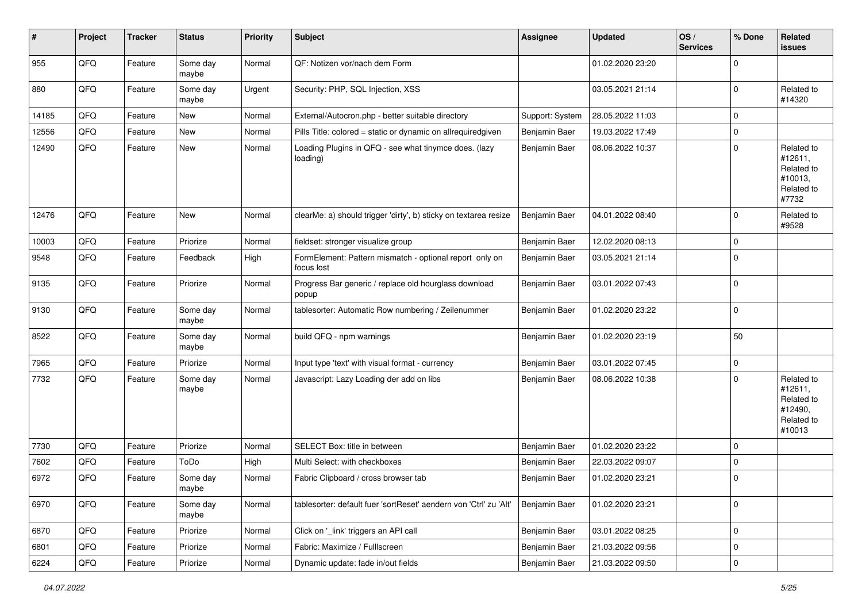| #     | Project | <b>Tracker</b> | <b>Status</b>     | <b>Priority</b> | <b>Subject</b>                                                        | Assignee        | <b>Updated</b>   | OS/<br><b>Services</b> | % Done      | <b>Related</b><br>issues                                               |
|-------|---------|----------------|-------------------|-----------------|-----------------------------------------------------------------------|-----------------|------------------|------------------------|-------------|------------------------------------------------------------------------|
| 955   | QFQ     | Feature        | Some day<br>maybe | Normal          | QF: Notizen vor/nach dem Form                                         |                 | 01.02.2020 23:20 |                        | $\mathbf 0$ |                                                                        |
| 880   | QFQ     | Feature        | Some day<br>maybe | Urgent          | Security: PHP, SQL Injection, XSS                                     |                 | 03.05.2021 21:14 |                        | $\mathbf 0$ | Related to<br>#14320                                                   |
| 14185 | QFQ     | Feature        | New               | Normal          | External/Autocron.php - better suitable directory                     | Support: System | 28.05.2022 11:03 |                        | $\mathbf 0$ |                                                                        |
| 12556 | QFQ     | Feature        | New               | Normal          | Pills Title: colored = static or dynamic on allrequiredgiven          | Benjamin Baer   | 19.03.2022 17:49 |                        | $\pmb{0}$   |                                                                        |
| 12490 | QFQ     | Feature        | New               | Normal          | Loading Plugins in QFQ - see what tinymce does. (lazy<br>loading)     | Benjamin Baer   | 08.06.2022 10:37 |                        | $\mathbf 0$ | Related to<br>#12611,<br>Related to<br>#10013,<br>Related to<br>#7732  |
| 12476 | QFQ     | Feature        | New               | Normal          | clearMe: a) should trigger 'dirty', b) sticky on textarea resize      | Benjamin Baer   | 04.01.2022 08:40 |                        | 0           | Related to<br>#9528                                                    |
| 10003 | QFQ     | Feature        | Priorize          | Normal          | fieldset: stronger visualize group                                    | Benjamin Baer   | 12.02.2020 08:13 |                        | $\mathbf 0$ |                                                                        |
| 9548  | QFQ     | Feature        | Feedback          | High            | FormElement: Pattern mismatch - optional report only on<br>focus lost | Benjamin Baer   | 03.05.2021 21:14 |                        | $\mathbf 0$ |                                                                        |
| 9135  | QFQ     | Feature        | Priorize          | Normal          | Progress Bar generic / replace old hourglass download<br>popup        | Benjamin Baer   | 03.01.2022 07:43 |                        | $\mathbf 0$ |                                                                        |
| 9130  | QFQ     | Feature        | Some day<br>maybe | Normal          | tablesorter: Automatic Row numbering / Zeilenummer                    | Benjamin Baer   | 01.02.2020 23:22 |                        | $\pmb{0}$   |                                                                        |
| 8522  | QFQ     | Feature        | Some day<br>maybe | Normal          | build QFQ - npm warnings                                              | Benjamin Baer   | 01.02.2020 23:19 |                        | 50          |                                                                        |
| 7965  | QFQ     | Feature        | Priorize          | Normal          | Input type 'text' with visual format - currency                       | Benjamin Baer   | 03.01.2022 07:45 |                        | $\pmb{0}$   |                                                                        |
| 7732  | QFQ     | Feature        | Some day<br>maybe | Normal          | Javascript: Lazy Loading der add on libs                              | Benjamin Baer   | 08.06.2022 10:38 |                        | $\mathbf 0$ | Related to<br>#12611,<br>Related to<br>#12490,<br>Related to<br>#10013 |
| 7730  | QFQ     | Feature        | Priorize          | Normal          | SELECT Box: title in between                                          | Benjamin Baer   | 01.02.2020 23:22 |                        | $\mathbf 0$ |                                                                        |
| 7602  | QFQ     | Feature        | ToDo              | High            | Multi Select: with checkboxes                                         | Benjamin Baer   | 22.03.2022 09:07 |                        | 0           |                                                                        |
| 6972  | QFQ     | Feature        | Some day<br>maybe | Normal          | Fabric Clipboard / cross browser tab                                  | Benjamin Baer   | 01.02.2020 23:21 |                        | $\mathbf 0$ |                                                                        |
| 6970  | QFQ     | Feature        | Some day<br>maybe | Normal          | tablesorter: default fuer 'sortReset' aendern von 'Ctrl' zu 'Alt'     | Benjamin Baer   | 01.02.2020 23:21 |                        | $\mathbf 0$ |                                                                        |
| 6870  | QFQ     | Feature        | Priorize          | Normal          | Click on '_link' triggers an API call                                 | Benjamin Baer   | 03.01.2022 08:25 |                        | $\pmb{0}$   |                                                                        |
| 6801  | QFQ     | Feature        | Priorize          | Normal          | Fabric: Maximize / FullIscreen                                        | Benjamin Baer   | 21.03.2022 09:56 |                        | $\pmb{0}$   |                                                                        |
| 6224  | QFG     | Feature        | Priorize          | Normal          | Dynamic update: fade in/out fields                                    | Benjamin Baer   | 21.03.2022 09:50 |                        | $\pmb{0}$   |                                                                        |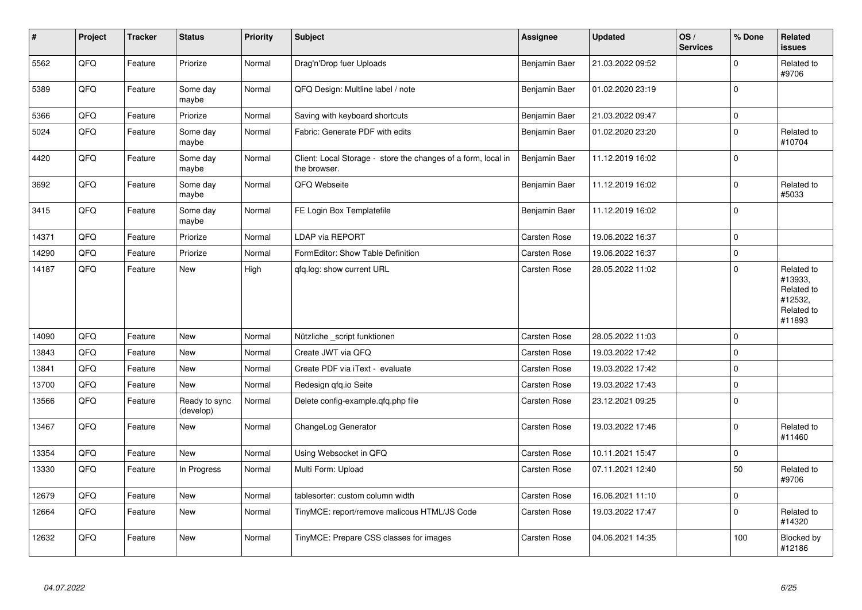| $\sharp$ | Project | <b>Tracker</b> | <b>Status</b>              | <b>Priority</b> | <b>Subject</b>                                                                | <b>Assignee</b> | <b>Updated</b>   | OS/<br><b>Services</b> | % Done      | Related<br><b>issues</b>                                               |
|----------|---------|----------------|----------------------------|-----------------|-------------------------------------------------------------------------------|-----------------|------------------|------------------------|-------------|------------------------------------------------------------------------|
| 5562     | QFQ     | Feature        | Priorize                   | Normal          | Drag'n'Drop fuer Uploads                                                      | Benjamin Baer   | 21.03.2022 09:52 |                        | $\mathbf 0$ | Related to<br>#9706                                                    |
| 5389     | QFQ     | Feature        | Some day<br>maybe          | Normal          | QFQ Design: Multline label / note                                             | Benjamin Baer   | 01.02.2020 23:19 |                        | $\mathbf 0$ |                                                                        |
| 5366     | QFQ     | Feature        | Priorize                   | Normal          | Saving with keyboard shortcuts                                                | Benjamin Baer   | 21.03.2022 09:47 |                        | $\mathbf 0$ |                                                                        |
| 5024     | QFQ     | Feature        | Some day<br>maybe          | Normal          | Fabric: Generate PDF with edits                                               | Benjamin Baer   | 01.02.2020 23:20 |                        | $\mathbf 0$ | Related to<br>#10704                                                   |
| 4420     | QFQ     | Feature        | Some day<br>maybe          | Normal          | Client: Local Storage - store the changes of a form, local in<br>the browser. | Benjamin Baer   | 11.12.2019 16:02 |                        | $\mathbf 0$ |                                                                        |
| 3692     | QFQ     | Feature        | Some day<br>maybe          | Normal          | QFQ Webseite                                                                  | Benjamin Baer   | 11.12.2019 16:02 |                        | $\mathbf 0$ | Related to<br>#5033                                                    |
| 3415     | QFQ     | Feature        | Some day<br>maybe          | Normal          | FE Login Box Templatefile                                                     | Benjamin Baer   | 11.12.2019 16:02 |                        | $\mathbf 0$ |                                                                        |
| 14371    | QFQ     | Feature        | Priorize                   | Normal          | <b>LDAP via REPORT</b>                                                        | Carsten Rose    | 19.06.2022 16:37 |                        | $\pmb{0}$   |                                                                        |
| 14290    | QFQ     | Feature        | Priorize                   | Normal          | FormEditor: Show Table Definition                                             | Carsten Rose    | 19.06.2022 16:37 |                        | $\pmb{0}$   |                                                                        |
| 14187    | QFQ     | Feature        | <b>New</b>                 | High            | qfq.log: show current URL                                                     | Carsten Rose    | 28.05.2022 11:02 |                        | $\mathbf 0$ | Related to<br>#13933,<br>Related to<br>#12532,<br>Related to<br>#11893 |
| 14090    | QFQ     | Feature        | <b>New</b>                 | Normal          | Nützliche _script funktionen                                                  | Carsten Rose    | 28.05.2022 11:03 |                        | $\mathbf 0$ |                                                                        |
| 13843    | QFQ     | Feature        | <b>New</b>                 | Normal          | Create JWT via QFQ                                                            | Carsten Rose    | 19.03.2022 17:42 |                        | $\mathbf 0$ |                                                                        |
| 13841    | QFQ     | Feature        | New                        | Normal          | Create PDF via iText - evaluate                                               | Carsten Rose    | 19.03.2022 17:42 |                        | $\pmb{0}$   |                                                                        |
| 13700    | QFQ     | Feature        | New                        | Normal          | Redesign gfg.io Seite                                                         | Carsten Rose    | 19.03.2022 17:43 |                        | $\pmb{0}$   |                                                                        |
| 13566    | QFQ     | Feature        | Ready to sync<br>(develop) | Normal          | Delete config-example.qfq.php file                                            | Carsten Rose    | 23.12.2021 09:25 |                        | $\mathbf 0$ |                                                                        |
| 13467    | QFQ     | Feature        | New                        | Normal          | ChangeLog Generator                                                           | Carsten Rose    | 19.03.2022 17:46 |                        | $\mathbf 0$ | Related to<br>#11460                                                   |
| 13354    | QFQ     | Feature        | New                        | Normal          | Using Websocket in QFQ                                                        | Carsten Rose    | 10.11.2021 15:47 |                        | $\mathbf 0$ |                                                                        |
| 13330    | QFQ     | Feature        | In Progress                | Normal          | Multi Form: Upload                                                            | Carsten Rose    | 07.11.2021 12:40 |                        | 50          | Related to<br>#9706                                                    |
| 12679    | QFQ     | Feature        | New                        | Normal          | tablesorter: custom column width                                              | Carsten Rose    | 16.06.2021 11:10 |                        | $\pmb{0}$   |                                                                        |
| 12664    | QFQ     | Feature        | New                        | Normal          | TinyMCE: report/remove malicous HTML/JS Code                                  | Carsten Rose    | 19.03.2022 17:47 |                        | $\mathbf 0$ | Related to<br>#14320                                                   |
| 12632    | QFQ     | Feature        | New                        | Normal          | TinyMCE: Prepare CSS classes for images                                       | Carsten Rose    | 04.06.2021 14:35 |                        | 100         | Blocked by<br>#12186                                                   |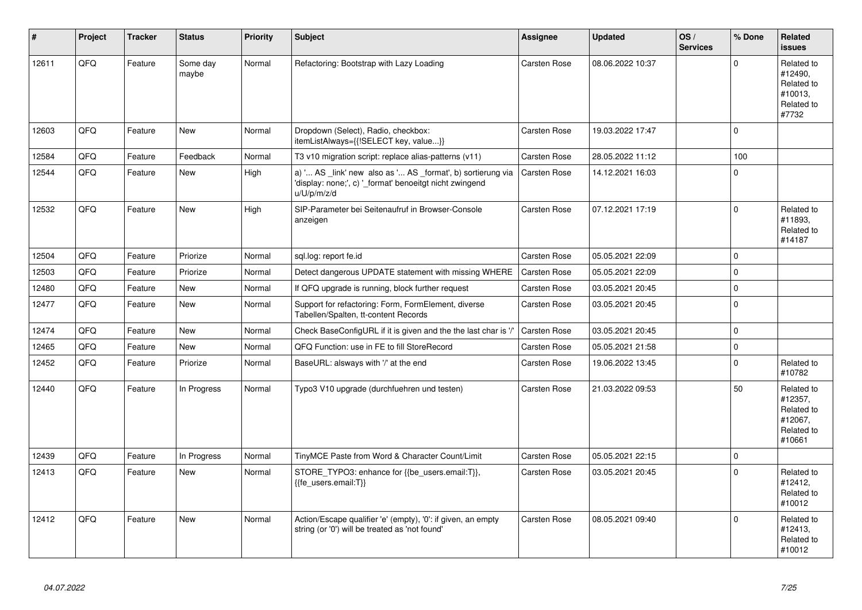| $\vert$ # | Project | <b>Tracker</b> | <b>Status</b>     | <b>Priority</b> | <b>Subject</b>                                                                                                                        | Assignee            | <b>Updated</b>   | OS/<br><b>Services</b> | % Done      | Related<br><b>issues</b>                                               |
|-----------|---------|----------------|-------------------|-----------------|---------------------------------------------------------------------------------------------------------------------------------------|---------------------|------------------|------------------------|-------------|------------------------------------------------------------------------|
| 12611     | QFQ     | Feature        | Some day<br>maybe | Normal          | Refactoring: Bootstrap with Lazy Loading                                                                                              | Carsten Rose        | 08.06.2022 10:37 |                        | $\Omega$    | Related to<br>#12490,<br>Related to<br>#10013.<br>Related to<br>#7732  |
| 12603     | QFQ     | Feature        | New               | Normal          | Dropdown (Select), Radio, checkbox:<br>itemListAlways={{!SELECT key, value}}                                                          | Carsten Rose        | 19.03.2022 17:47 |                        | $\mathbf 0$ |                                                                        |
| 12584     | QFQ     | Feature        | Feedback          | Normal          | T3 v10 migration script: replace alias-patterns (v11)                                                                                 | Carsten Rose        | 28.05.2022 11:12 |                        | 100         |                                                                        |
| 12544     | QFQ     | Feature        | New               | High            | a) ' AS _link' new also as ' AS _format', b) sortierung via<br>'display: none;', c) '_format' benoeitgt nicht zwingend<br>u/U/p/m/z/d | <b>Carsten Rose</b> | 14.12.2021 16:03 |                        | $\Omega$    |                                                                        |
| 12532     | QFQ     | Feature        | <b>New</b>        | High            | SIP-Parameter bei Seitenaufruf in Browser-Console<br>anzeigen                                                                         | Carsten Rose        | 07.12.2021 17:19 |                        | $\mathbf 0$ | Related to<br>#11893,<br>Related to<br>#14187                          |
| 12504     | QFQ     | Feature        | Priorize          | Normal          | sql.log: report fe.id                                                                                                                 | Carsten Rose        | 05.05.2021 22:09 |                        | $\mathbf 0$ |                                                                        |
| 12503     | QFQ     | Feature        | Priorize          | Normal          | Detect dangerous UPDATE statement with missing WHERE                                                                                  | <b>Carsten Rose</b> | 05.05.2021 22:09 |                        | $\mathbf 0$ |                                                                        |
| 12480     | QFQ     | Feature        | <b>New</b>        | Normal          | If QFQ upgrade is running, block further request                                                                                      | Carsten Rose        | 03.05.2021 20:45 |                        | $\mathbf 0$ |                                                                        |
| 12477     | QFQ     | Feature        | New               | Normal          | Support for refactoring: Form, FormElement, diverse<br>Tabellen/Spalten, tt-content Records                                           | Carsten Rose        | 03.05.2021 20:45 |                        | $\mathbf 0$ |                                                                        |
| 12474     | QFQ     | Feature        | New               | Normal          | Check BaseConfigURL if it is given and the the last char is '/'                                                                       | <b>Carsten Rose</b> | 03.05.2021 20:45 |                        | $\mathbf 0$ |                                                                        |
| 12465     | QFQ     | Feature        | New               | Normal          | QFQ Function: use in FE to fill StoreRecord                                                                                           | Carsten Rose        | 05.05.2021 21:58 |                        | $\pmb{0}$   |                                                                        |
| 12452     | QFQ     | Feature        | Priorize          | Normal          | BaseURL: alsways with '/' at the end                                                                                                  | Carsten Rose        | 19.06.2022 13:45 |                        | $\mathbf 0$ | Related to<br>#10782                                                   |
| 12440     | QFQ     | Feature        | In Progress       | Normal          | Typo3 V10 upgrade (durchfuehren und testen)                                                                                           | Carsten Rose        | 21.03.2022 09:53 |                        | 50          | Related to<br>#12357,<br>Related to<br>#12067.<br>Related to<br>#10661 |
| 12439     | QFQ     | Feature        | In Progress       | Normal          | TinyMCE Paste from Word & Character Count/Limit                                                                                       | Carsten Rose        | 05.05.2021 22:15 |                        | $\mathbf 0$ |                                                                        |
| 12413     | QFQ     | Feature        | <b>New</b>        | Normal          | STORE TYPO3: enhance for {{be users.email:T}},<br>{{fe users.email:T}}                                                                | Carsten Rose        | 03.05.2021 20:45 |                        | $\Omega$    | Related to<br>#12412,<br>Related to<br>#10012                          |
| 12412     | QFQ     | Feature        | <b>New</b>        | Normal          | Action/Escape qualifier 'e' (empty), '0': if given, an empty<br>string (or '0') will be treated as 'not found'                        | Carsten Rose        | 08.05.2021 09:40 |                        | $\Omega$    | Related to<br>#12413,<br>Related to<br>#10012                          |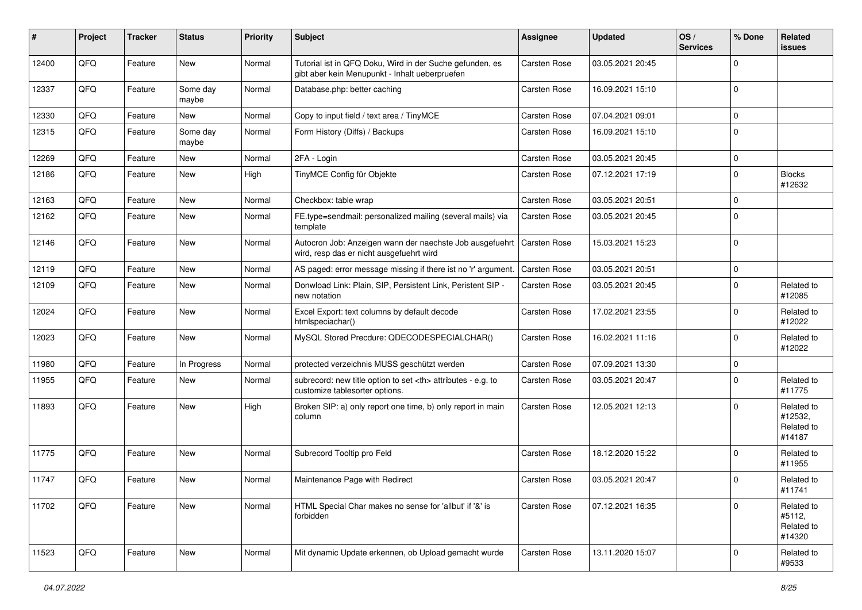| ∦     | Project | <b>Tracker</b> | <b>Status</b>     | <b>Priority</b> | Subject                                                                                                    | <b>Assignee</b>                                        | <b>Updated</b>   | OS/<br><b>Services</b> | % Done      | Related<br><b>issues</b>                      |                      |
|-------|---------|----------------|-------------------|-----------------|------------------------------------------------------------------------------------------------------------|--------------------------------------------------------|------------------|------------------------|-------------|-----------------------------------------------|----------------------|
| 12400 | QFQ     | Feature        | New               | Normal          | Tutorial ist in QFQ Doku, Wird in der Suche gefunden, es<br>gibt aber kein Menupunkt - Inhalt ueberpruefen | <b>Carsten Rose</b>                                    | 03.05.2021 20:45 |                        | $\mathbf 0$ |                                               |                      |
| 12337 | QFQ     | Feature        | Some day<br>maybe | Normal          | Database.php: better caching                                                                               | <b>Carsten Rose</b>                                    | 16.09.2021 15:10 |                        | $\mathbf 0$ |                                               |                      |
| 12330 | QFQ     | Feature        | New               | Normal          | Copy to input field / text area / TinyMCE                                                                  | Carsten Rose                                           | 07.04.2021 09:01 |                        | $\mathbf 0$ |                                               |                      |
| 12315 | QFQ     | Feature        | Some day<br>maybe | Normal          | Form History (Diffs) / Backups                                                                             | Carsten Rose                                           | 16.09.2021 15:10 |                        | $\mathbf 0$ |                                               |                      |
| 12269 | QFQ     | Feature        | New               | Normal          | 2FA - Login                                                                                                | Carsten Rose                                           | 03.05.2021 20:45 |                        | $\mathbf 0$ |                                               |                      |
| 12186 | QFQ     | Feature        | New               | High            | TinyMCE Config für Objekte                                                                                 | Carsten Rose                                           | 07.12.2021 17:19 |                        | $\mathbf 0$ | <b>Blocks</b><br>#12632                       |                      |
| 12163 | QFQ     | Feature        | New               | Normal          | Checkbox: table wrap                                                                                       | Carsten Rose                                           | 03.05.2021 20:51 |                        | $\mathbf 0$ |                                               |                      |
| 12162 | QFQ     | Feature        | New               | Normal          | FE.type=sendmail: personalized mailing (several mails) via<br>template                                     | Carsten Rose                                           | 03.05.2021 20:45 |                        | $\Omega$    |                                               |                      |
| 12146 | QFQ     | Feature        | New               | Normal          | Autocron Job: Anzeigen wann der naechste Job ausgefuehrt<br>wird, resp das er nicht ausgefuehrt wird       | Carsten Rose                                           | 15.03.2021 15:23 |                        | $\mathbf 0$ |                                               |                      |
| 12119 | QFQ     | Feature        | <b>New</b>        | Normal          | AS paged: error message missing if there ist no 'r' argument.                                              | <b>Carsten Rose</b>                                    | 03.05.2021 20:51 |                        | $\mathbf 0$ |                                               |                      |
| 12109 | QFQ     | Feature        | New               | Normal          | Donwload Link: Plain, SIP, Persistent Link, Peristent SIP -<br>new notation                                | Carsten Rose                                           | 03.05.2021 20:45 |                        | $\mathbf 0$ | Related to<br>#12085                          |                      |
| 12024 | QFQ     | Feature        | New               | Normal          | Excel Export: text columns by default decode<br>htmlspeciachar()                                           | Carsten Rose                                           | 17.02.2021 23:55 |                        | $\mathbf 0$ | Related to<br>#12022                          |                      |
| 12023 | QFQ     | Feature        | New               | Normal          | MySQL Stored Precdure: QDECODESPECIALCHAR()                                                                | Carsten Rose                                           | 16.02.2021 11:16 |                        | $\mathbf 0$ | Related to<br>#12022                          |                      |
| 11980 | QFQ     | Feature        | In Progress       | Normal          | protected verzeichnis MUSS geschützt werden                                                                | <b>Carsten Rose</b>                                    | 07.09.2021 13:30 |                        | $\mathbf 0$ |                                               |                      |
| 11955 | QFQ     | Feature        | New               | Normal          | subrecord: new title option to set <th> attributes - e.g. to<br/>customize tablesorter options.</th>       | attributes - e.g. to<br>customize tablesorter options. | Carsten Rose     | 03.05.2021 20:47       |             | $\mathbf 0$                                   | Related to<br>#11775 |
| 11893 | QFQ     | Feature        | New               | High            | Broken SIP: a) only report one time, b) only report in main<br>column                                      | Carsten Rose                                           | 12.05.2021 12:13 |                        | $\Omega$    | Related to<br>#12532,<br>Related to<br>#14187 |                      |
| 11775 | QFQ     | Feature        | New               | Normal          | Subrecord Tooltip pro Feld                                                                                 | <b>Carsten Rose</b>                                    | 18.12.2020 15:22 |                        | $\mathbf 0$ | Related to<br>#11955                          |                      |
| 11747 | QFQ     | Feature        | New               | Normal          | Maintenance Page with Redirect                                                                             | <b>Carsten Rose</b>                                    | 03.05.2021 20:47 |                        | $\mathbf 0$ | Related to<br>#11741                          |                      |
| 11702 | QFQ     | Feature        | New               | Normal          | HTML Special Char makes no sense for 'allbut' if '&' is<br>forbidden                                       | <b>Carsten Rose</b>                                    | 07.12.2021 16:35 |                        | $\mathbf 0$ | Related to<br>#5112,<br>Related to<br>#14320  |                      |
| 11523 | QFQ     | Feature        | New               | Normal          | Mit dynamic Update erkennen, ob Upload gemacht wurde                                                       | Carsten Rose                                           | 13.11.2020 15:07 |                        | $\pmb{0}$   | Related to<br>#9533                           |                      |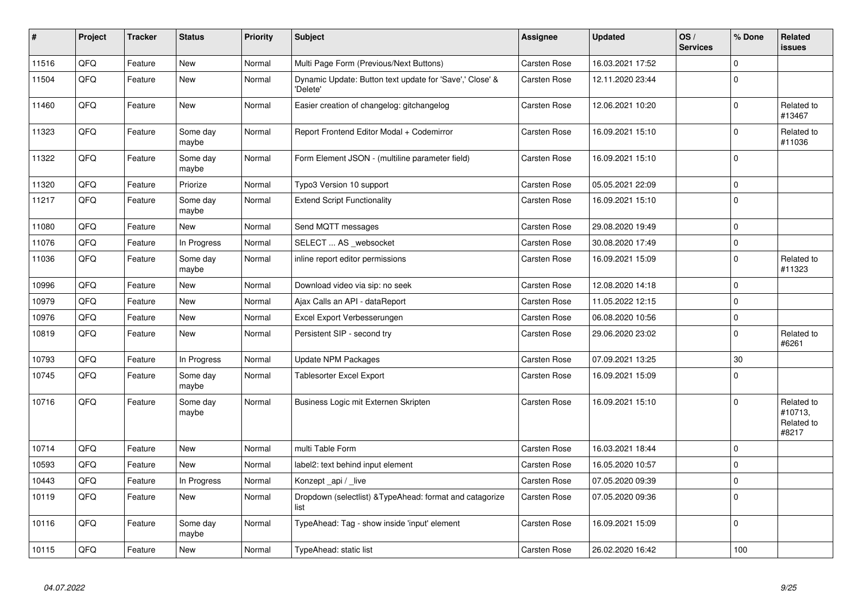| #     | Project | <b>Tracker</b> | <b>Status</b>     | <b>Priority</b> | <b>Subject</b>                                                       | <b>Assignee</b>     | <b>Updated</b>   | OS/<br><b>Services</b> | % Done      | <b>Related</b><br><b>issues</b>              |
|-------|---------|----------------|-------------------|-----------------|----------------------------------------------------------------------|---------------------|------------------|------------------------|-------------|----------------------------------------------|
| 11516 | QFQ     | Feature        | <b>New</b>        | Normal          | Multi Page Form (Previous/Next Buttons)                              | <b>Carsten Rose</b> | 16.03.2021 17:52 |                        | $\Omega$    |                                              |
| 11504 | QFQ     | Feature        | New               | Normal          | Dynamic Update: Button text update for 'Save',' Close' &<br>'Delete' | Carsten Rose        | 12.11.2020 23:44 |                        | $\mathbf 0$ |                                              |
| 11460 | QFQ     | Feature        | <b>New</b>        | Normal          | Easier creation of changelog: gitchangelog                           | <b>Carsten Rose</b> | 12.06.2021 10:20 |                        | $\mathbf 0$ | Related to<br>#13467                         |
| 11323 | QFQ     | Feature        | Some day<br>maybe | Normal          | Report Frontend Editor Modal + Codemirror                            | Carsten Rose        | 16.09.2021 15:10 |                        | $\mathsf 0$ | Related to<br>#11036                         |
| 11322 | QFQ     | Feature        | Some day<br>maybe | Normal          | Form Element JSON - (multiline parameter field)                      | Carsten Rose        | 16.09.2021 15:10 |                        | $\mathsf 0$ |                                              |
| 11320 | QFQ     | Feature        | Priorize          | Normal          | Typo3 Version 10 support                                             | Carsten Rose        | 05.05.2021 22:09 |                        | $\mathbf 0$ |                                              |
| 11217 | QFQ     | Feature        | Some day<br>maybe | Normal          | <b>Extend Script Functionality</b>                                   | Carsten Rose        | 16.09.2021 15:10 |                        | $\mathbf 0$ |                                              |
| 11080 | QFQ     | Feature        | New               | Normal          | Send MQTT messages                                                   | Carsten Rose        | 29.08.2020 19:49 |                        | $\mathbf 0$ |                                              |
| 11076 | QFQ     | Feature        | In Progress       | Normal          | SELECT  AS websocket                                                 | Carsten Rose        | 30.08.2020 17:49 |                        | $\mathbf 0$ |                                              |
| 11036 | QFQ     | Feature        | Some day<br>maybe | Normal          | inline report editor permissions                                     | Carsten Rose        | 16.09.2021 15:09 |                        | $\mathbf 0$ | Related to<br>#11323                         |
| 10996 | QFQ     | Feature        | New               | Normal          | Download video via sip: no seek                                      | Carsten Rose        | 12.08.2020 14:18 |                        | $\mathbf 0$ |                                              |
| 10979 | QFQ     | Feature        | <b>New</b>        | Normal          | Ajax Calls an API - dataReport                                       | Carsten Rose        | 11.05.2022 12:15 |                        | $\mathbf 0$ |                                              |
| 10976 | QFQ     | Feature        | <b>New</b>        | Normal          | Excel Export Verbesserungen                                          | Carsten Rose        | 06.08.2020 10:56 |                        | $\mathbf 0$ |                                              |
| 10819 | QFQ     | Feature        | New               | Normal          | Persistent SIP - second try                                          | Carsten Rose        | 29.06.2020 23:02 |                        | $\mathbf 0$ | Related to<br>#6261                          |
| 10793 | QFQ     | Feature        | In Progress       | Normal          | <b>Update NPM Packages</b>                                           | Carsten Rose        | 07.09.2021 13:25 |                        | 30          |                                              |
| 10745 | QFQ     | Feature        | Some day<br>maybe | Normal          | Tablesorter Excel Export                                             | Carsten Rose        | 16.09.2021 15:09 |                        | $\Omega$    |                                              |
| 10716 | QFQ     | Feature        | Some day<br>maybe | Normal          | Business Logic mit Externen Skripten                                 | Carsten Rose        | 16.09.2021 15:10 |                        | $\mathbf 0$ | Related to<br>#10713,<br>Related to<br>#8217 |
| 10714 | QFQ     | Feature        | New               | Normal          | multi Table Form                                                     | Carsten Rose        | 16.03.2021 18:44 |                        | $\mathbf 0$ |                                              |
| 10593 | QFQ     | Feature        | <b>New</b>        | Normal          | label2: text behind input element                                    | <b>Carsten Rose</b> | 16.05.2020 10:57 |                        | $\mathbf 0$ |                                              |
| 10443 | QFQ     | Feature        | In Progress       | Normal          | Konzept _api / _live                                                 | Carsten Rose        | 07.05.2020 09:39 |                        | $\mathbf 0$ |                                              |
| 10119 | QFQ     | Feature        | <b>New</b>        | Normal          | Dropdown (selectlist) & TypeAhead: format and catagorize<br>list     | Carsten Rose        | 07.05.2020 09:36 |                        | $\mathbf 0$ |                                              |
| 10116 | QFQ     | Feature        | Some day<br>maybe | Normal          | TypeAhead: Tag - show inside 'input' element                         | Carsten Rose        | 16.09.2021 15:09 |                        | $\mathbf 0$ |                                              |
| 10115 | QFQ     | Feature        | New               | Normal          | TypeAhead: static list                                               | <b>Carsten Rose</b> | 26.02.2020 16:42 |                        | 100         |                                              |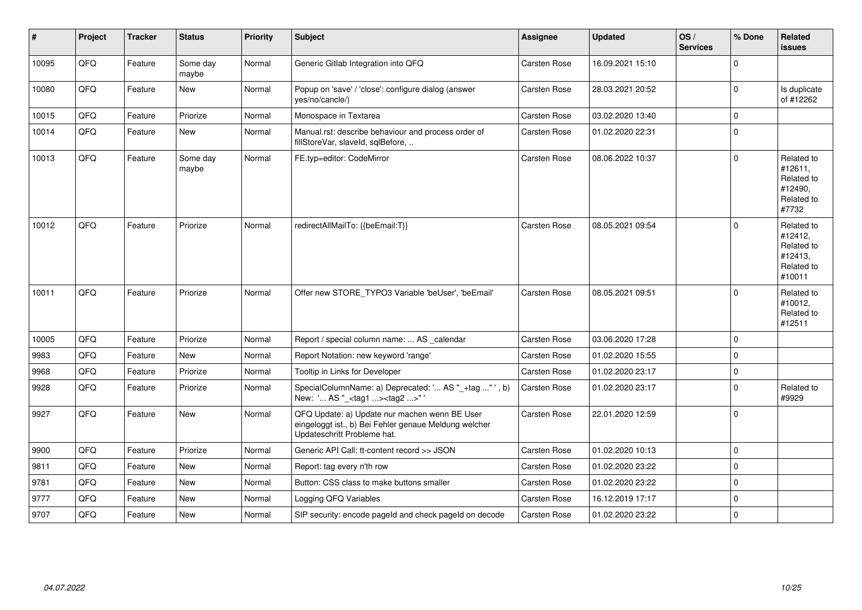| $\vert$ # | Project | <b>Tracker</b> | <b>Status</b>     | Priority | <b>Subject</b>                                                                                                                        | <b>Assignee</b>     | <b>Updated</b>   | OS/<br><b>Services</b> | % Done      | Related<br><b>issues</b>                                               |
|-----------|---------|----------------|-------------------|----------|---------------------------------------------------------------------------------------------------------------------------------------|---------------------|------------------|------------------------|-------------|------------------------------------------------------------------------|
| 10095     | QFQ     | Feature        | Some day<br>maybe | Normal   | Generic Gitlab Integration into QFQ                                                                                                   | Carsten Rose        | 16.09.2021 15:10 |                        | $\Omega$    |                                                                        |
| 10080     | QFQ     | Feature        | <b>New</b>        | Normal   | Popup on 'save' / 'close': configure dialog (answer<br>yes/no/cancle/)                                                                | Carsten Rose        | 28.03.2021 20:52 |                        | $\Omega$    | Is duplicate<br>of #12262                                              |
| 10015     | QFQ     | Feature        | Priorize          | Normal   | Monospace in Textarea                                                                                                                 | Carsten Rose        | 03.02.2020 13:40 |                        | $\Omega$    |                                                                        |
| 10014     | QFQ     | Feature        | New               | Normal   | Manual.rst: describe behaviour and process order of<br>fillStoreVar, slaveId, sqlBefore,                                              | Carsten Rose        | 01.02.2020 22:31 |                        | $\Omega$    |                                                                        |
| 10013     | QFQ     | Feature        | Some day<br>maybe | Normal   | FE.typ=editor: CodeMirror                                                                                                             | Carsten Rose        | 08.06.2022 10:37 |                        | $\Omega$    | Related to<br>#12611,<br>Related to<br>#12490,<br>Related to<br>#7732  |
| 10012     | QFQ     | Feature        | Priorize          | Normal   | redirectAllMailTo: {{beEmail:T}}                                                                                                      | <b>Carsten Rose</b> | 08.05.2021 09:54 |                        | $\Omega$    | Related to<br>#12412,<br>Related to<br>#12413,<br>Related to<br>#10011 |
| 10011     | QFQ     | Feature        | Priorize          | Normal   | Offer new STORE_TYPO3 Variable 'beUser', 'beEmail'                                                                                    | <b>Carsten Rose</b> | 08.05.2021 09:51 |                        | $\Omega$    | Related to<br>#10012,<br>Related to<br>#12511                          |
| 10005     | QFQ     | Feature        | Priorize          | Normal   | Report / special column name:  AS _calendar                                                                                           | Carsten Rose        | 03.06.2020 17:28 |                        | $\Omega$    |                                                                        |
| 9983      | QFQ     | Feature        | <b>New</b>        | Normal   | Report Notation: new keyword 'range'                                                                                                  | Carsten Rose        | 01.02.2020 15:55 |                        | $\Omega$    |                                                                        |
| 9968      | QFQ     | Feature        | Priorize          | Normal   | Tooltip in Links for Developer                                                                                                        | <b>Carsten Rose</b> | 01.02.2020 23:17 |                        | $\mathbf 0$ |                                                                        |
| 9928      | QFQ     | Feature        | Priorize          | Normal   | SpecialColumnName: a) Deprecated: ' AS "_+tag " ', b)<br>New: ' AS "_ <tag1><tag2>"</tag2></tag1>                                     | Carsten Rose        | 01.02.2020 23:17 |                        | $\Omega$    | Related to<br>#9929                                                    |
| 9927      | QFQ     | Feature        | New               | Normal   | QFQ Update: a) Update nur machen wenn BE User<br>eingeloggt ist., b) Bei Fehler genaue Meldung welcher<br>Updateschritt Probleme hat. | Carsten Rose        | 22.01.2020 12:59 |                        | $\Omega$    |                                                                        |
| 9900      | QFQ     | Feature        | Priorize          | Normal   | Generic API Call: tt-content record >> JSON                                                                                           | Carsten Rose        | 01.02.2020 10:13 |                        | $\Omega$    |                                                                        |
| 9811      | QFQ     | Feature        | New               | Normal   | Report: tag every n'th row                                                                                                            | Carsten Rose        | 01.02.2020 23:22 |                        | $\Omega$    |                                                                        |
| 9781      | QFQ     | Feature        | New               | Normal   | Button: CSS class to make buttons smaller                                                                                             | Carsten Rose        | 01.02.2020 23:22 |                        | $\Omega$    |                                                                        |
| 9777      | QFQ     | Feature        | New               | Normal   | Logging QFQ Variables                                                                                                                 | Carsten Rose        | 16.12.2019 17:17 |                        | $\Omega$    |                                                                        |
| 9707      | QFQ     | Feature        | New               | Normal   | SIP security: encode pageld and check pageld on decode                                                                                | Carsten Rose        | 01.02.2020 23:22 |                        | $\Omega$    |                                                                        |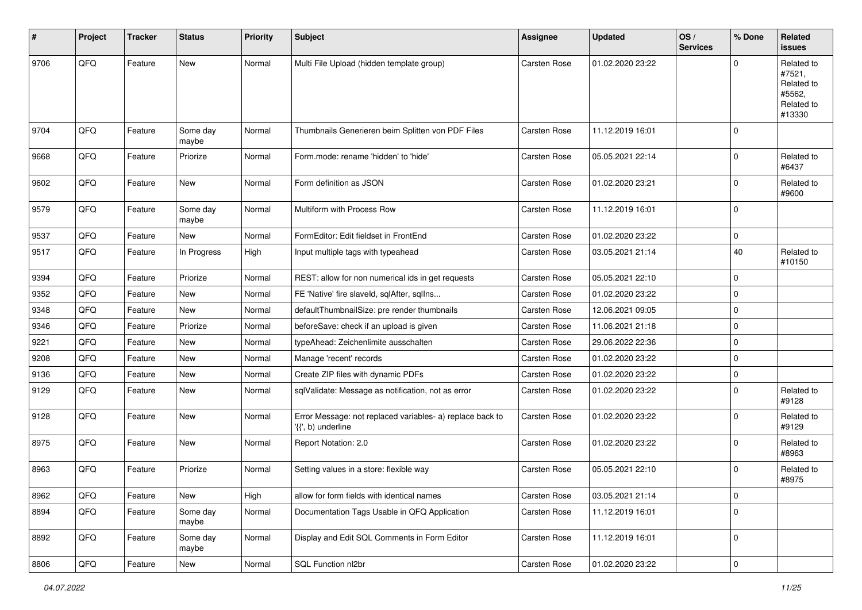| $\vert$ # | Project | <b>Tracker</b> | <b>Status</b>     | <b>Priority</b> | <b>Subject</b>                                                                  | <b>Assignee</b>     | <b>Updated</b>   | OS/<br><b>Services</b> | % Done      | Related<br><b>issues</b>                                             |
|-----------|---------|----------------|-------------------|-----------------|---------------------------------------------------------------------------------|---------------------|------------------|------------------------|-------------|----------------------------------------------------------------------|
| 9706      | QFQ     | Feature        | New               | Normal          | Multi File Upload (hidden template group)                                       | <b>Carsten Rose</b> | 01.02.2020 23:22 |                        | $\Omega$    | Related to<br>#7521,<br>Related to<br>#5562,<br>Related to<br>#13330 |
| 9704      | QFQ     | Feature        | Some day<br>maybe | Normal          | Thumbnails Generieren beim Splitten von PDF Files                               | <b>Carsten Rose</b> | 11.12.2019 16:01 |                        | $\mathbf 0$ |                                                                      |
| 9668      | QFQ     | Feature        | Priorize          | Normal          | Form.mode: rename 'hidden' to 'hide'                                            | Carsten Rose        | 05.05.2021 22:14 |                        | $\pmb{0}$   | Related to<br>#6437                                                  |
| 9602      | QFQ     | Feature        | New               | Normal          | Form definition as JSON                                                         | Carsten Rose        | 01.02.2020 23:21 |                        | $\mathbf 0$ | Related to<br>#9600                                                  |
| 9579      | QFQ     | Feature        | Some day<br>maybe | Normal          | Multiform with Process Row                                                      | Carsten Rose        | 11.12.2019 16:01 |                        | $\mathbf 0$ |                                                                      |
| 9537      | QFQ     | Feature        | New               | Normal          | FormEditor: Edit fieldset in FrontEnd                                           | Carsten Rose        | 01.02.2020 23:22 |                        | $\mathbf 0$ |                                                                      |
| 9517      | QFQ     | Feature        | In Progress       | High            | Input multiple tags with typeahead                                              | Carsten Rose        | 03.05.2021 21:14 |                        | 40          | Related to<br>#10150                                                 |
| 9394      | QFQ     | Feature        | Priorize          | Normal          | REST: allow for non numerical ids in get requests                               | <b>Carsten Rose</b> | 05.05.2021 22:10 |                        | $\pmb{0}$   |                                                                      |
| 9352      | QFQ     | Feature        | New               | Normal          | FE 'Native' fire slaveld, sqlAfter, sqlIns                                      | Carsten Rose        | 01.02.2020 23:22 |                        | $\mathbf 0$ |                                                                      |
| 9348      | QFQ     | Feature        | New               | Normal          | defaultThumbnailSize: pre render thumbnails                                     | <b>Carsten Rose</b> | 12.06.2021 09:05 |                        | $\mathbf 0$ |                                                                      |
| 9346      | QFQ     | Feature        | Priorize          | Normal          | beforeSave: check if an upload is given                                         | Carsten Rose        | 11.06.2021 21:18 |                        | $\mathbf 0$ |                                                                      |
| 9221      | QFQ     | Feature        | New               | Normal          | typeAhead: Zeichenlimite ausschalten                                            | <b>Carsten Rose</b> | 29.06.2022 22:36 |                        | $\mathbf 0$ |                                                                      |
| 9208      | QFQ     | Feature        | New               | Normal          | Manage 'recent' records                                                         | <b>Carsten Rose</b> | 01.02.2020 23:22 |                        | $\mathbf 0$ |                                                                      |
| 9136      | QFQ     | Feature        | New               | Normal          | Create ZIP files with dynamic PDFs                                              | Carsten Rose        | 01.02.2020 23:22 |                        | $\mathbf 0$ |                                                                      |
| 9129      | QFQ     | Feature        | New               | Normal          | sqlValidate: Message as notification, not as error                              | Carsten Rose        | 01.02.2020 23:22 |                        | $\mathbf 0$ | Related to<br>#9128                                                  |
| 9128      | QFQ     | Feature        | New               | Normal          | Error Message: not replaced variables- a) replace back to<br>'{{', b) underline | Carsten Rose        | 01.02.2020 23:22 |                        | $\mathbf 0$ | Related to<br>#9129                                                  |
| 8975      | QFQ     | Feature        | New               | Normal          | Report Notation: 2.0                                                            | Carsten Rose        | 01.02.2020 23:22 |                        | $\mathbf 0$ | Related to<br>#8963                                                  |
| 8963      | QFQ     | Feature        | Priorize          | Normal          | Setting values in a store: flexible way                                         | <b>Carsten Rose</b> | 05.05.2021 22:10 |                        | $\mathbf 0$ | Related to<br>#8975                                                  |
| 8962      | QFG     | Feature        | New               | High            | allow for form fields with identical names                                      | Carsten Rose        | 03.05.2021 21:14 |                        | $\pmb{0}$   |                                                                      |
| 8894      | QFQ     | Feature        | Some day<br>maybe | Normal          | Documentation Tags Usable in QFQ Application                                    | Carsten Rose        | 11.12.2019 16:01 |                        | $\mathbf 0$ |                                                                      |
| 8892      | QFQ     | Feature        | Some day<br>maybe | Normal          | Display and Edit SQL Comments in Form Editor                                    | Carsten Rose        | 11.12.2019 16:01 |                        | $\mathbf 0$ |                                                                      |
| 8806      | QFG     | Feature        | New               | Normal          | SQL Function nl2br                                                              | Carsten Rose        | 01.02.2020 23:22 |                        | $\pmb{0}$   |                                                                      |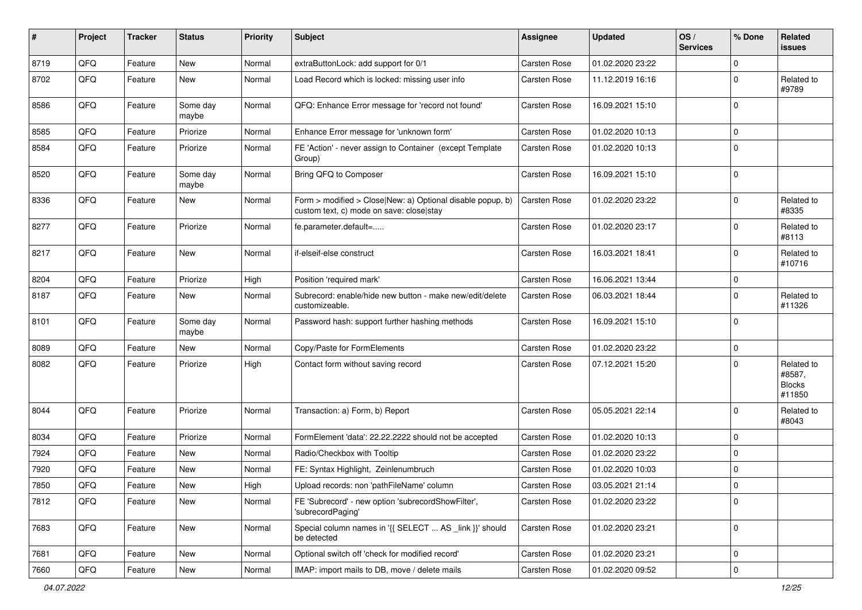| #    | Project | <b>Tracker</b> | <b>Status</b>     | <b>Priority</b> | Subject                                                                                                | Assignee            | <b>Updated</b>   | OS/<br><b>Services</b> | % Done      | <b>Related</b><br><b>issues</b>                 |
|------|---------|----------------|-------------------|-----------------|--------------------------------------------------------------------------------------------------------|---------------------|------------------|------------------------|-------------|-------------------------------------------------|
| 8719 | QFQ     | Feature        | New               | Normal          | extraButtonLock: add support for 0/1                                                                   | <b>Carsten Rose</b> | 01.02.2020 23:22 |                        | $\mathbf 0$ |                                                 |
| 8702 | QFQ     | Feature        | New               | Normal          | Load Record which is locked: missing user info                                                         | Carsten Rose        | 11.12.2019 16:16 |                        | $\mathbf 0$ | Related to<br>#9789                             |
| 8586 | QFQ     | Feature        | Some day<br>maybe | Normal          | QFQ: Enhance Error message for 'record not found'                                                      | <b>Carsten Rose</b> | 16.09.2021 15:10 |                        | $\mathbf 0$ |                                                 |
| 8585 | QFQ     | Feature        | Priorize          | Normal          | Enhance Error message for 'unknown form'                                                               | <b>Carsten Rose</b> | 01.02.2020 10:13 |                        | $\mathbf 0$ |                                                 |
| 8584 | QFQ     | Feature        | Priorize          | Normal          | FE 'Action' - never assign to Container (except Template<br>Group)                                     | Carsten Rose        | 01.02.2020 10:13 |                        | $\mathbf 0$ |                                                 |
| 8520 | QFQ     | Feature        | Some day<br>maybe | Normal          | Bring QFQ to Composer                                                                                  | Carsten Rose        | 16.09.2021 15:10 |                        | $\mathbf 0$ |                                                 |
| 8336 | QFQ     | Feature        | New               | Normal          | Form > modified > Close New: a) Optional disable popup, b)<br>custom text, c) mode on save: close stay | Carsten Rose        | 01.02.2020 23:22 |                        | $\mathbf 0$ | Related to<br>#8335                             |
| 8277 | QFQ     | Feature        | Priorize          | Normal          | fe.parameter.default=                                                                                  | Carsten Rose        | 01.02.2020 23:17 |                        | $\mathbf 0$ | Related to<br>#8113                             |
| 8217 | QFQ     | Feature        | New               | Normal          | if-elseif-else construct                                                                               | Carsten Rose        | 16.03.2021 18:41 |                        | $\mathbf 0$ | Related to<br>#10716                            |
| 8204 | QFQ     | Feature        | Priorize          | High            | Position 'required mark'                                                                               | <b>Carsten Rose</b> | 16.06.2021 13:44 |                        | $\mathbf 0$ |                                                 |
| 8187 | QFQ     | Feature        | New               | Normal          | Subrecord: enable/hide new button - make new/edit/delete<br>customizeable.                             | Carsten Rose        | 06.03.2021 18:44 |                        | $\mathbf 0$ | Related to<br>#11326                            |
| 8101 | QFQ     | Feature        | Some day<br>maybe | Normal          | Password hash: support further hashing methods                                                         | Carsten Rose        | 16.09.2021 15:10 |                        | $\mathbf 0$ |                                                 |
| 8089 | QFQ     | Feature        | New               | Normal          | Copy/Paste for FormElements                                                                            | Carsten Rose        | 01.02.2020 23:22 |                        | $\mathbf 0$ |                                                 |
| 8082 | QFQ     | Feature        | Priorize          | High            | Contact form without saving record                                                                     | Carsten Rose        | 07.12.2021 15:20 |                        | $\mathbf 0$ | Related to<br>#8587,<br><b>Blocks</b><br>#11850 |
| 8044 | QFQ     | Feature        | Priorize          | Normal          | Transaction: a) Form, b) Report                                                                        | Carsten Rose        | 05.05.2021 22:14 |                        | $\mathbf 0$ | Related to<br>#8043                             |
| 8034 | QFQ     | Feature        | Priorize          | Normal          | FormElement 'data': 22.22.2222 should not be accepted                                                  | <b>Carsten Rose</b> | 01.02.2020 10:13 |                        | $\mathbf 0$ |                                                 |
| 7924 | QFQ     | Feature        | New               | Normal          | Radio/Checkbox with Tooltip                                                                            | Carsten Rose        | 01.02.2020 23:22 |                        | $\mathbf 0$ |                                                 |
| 7920 | QFQ     | Feature        | New               | Normal          | FE: Syntax Highlight, Zeinlenumbruch                                                                   | Carsten Rose        | 01.02.2020 10:03 |                        | $\mathbf 0$ |                                                 |
| 7850 | QFQ     | Feature        | New               | High            | Upload records: non 'pathFileName' column                                                              | <b>Carsten Rose</b> | 03.05.2021 21:14 |                        | $\Omega$    |                                                 |
| 7812 | QFQ     | Feature        | New               | Normal          | FE 'Subrecord' - new option 'subrecordShowFilter',<br>'subrecordPaging'                                | Carsten Rose        | 01.02.2020 23:22 |                        | $\mathbf 0$ |                                                 |
| 7683 | QFQ     | Feature        | New               | Normal          | Special column names in '{{ SELECT  AS link }}' should<br>be detected                                  | Carsten Rose        | 01.02.2020 23:21 |                        | $\mathbf 0$ |                                                 |
| 7681 | QFQ     | Feature        | New               | Normal          | Optional switch off 'check for modified record'                                                        | Carsten Rose        | 01.02.2020 23:21 |                        | $\mathbf 0$ |                                                 |
| 7660 | QFQ     | Feature        | New               | Normal          | IMAP: import mails to DB, move / delete mails                                                          | Carsten Rose        | 01.02.2020 09:52 |                        | $\mathbf 0$ |                                                 |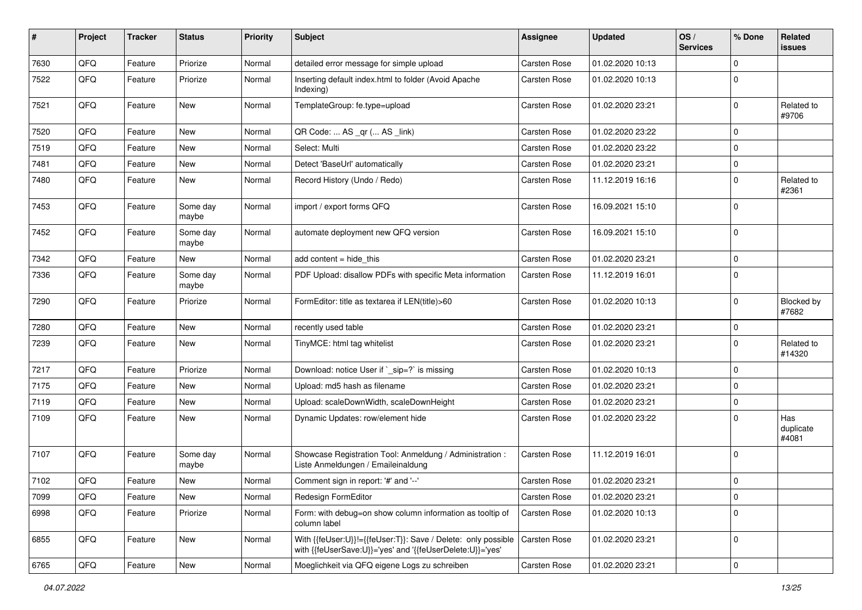| #    | Project | <b>Tracker</b> | <b>Status</b>     | <b>Priority</b> | Subject                                                                                                                    | <b>Assignee</b> | <b>Updated</b>   | OS/<br><b>Services</b> | % Done      | Related<br><b>issues</b>  |
|------|---------|----------------|-------------------|-----------------|----------------------------------------------------------------------------------------------------------------------------|-----------------|------------------|------------------------|-------------|---------------------------|
| 7630 | QFQ     | Feature        | Priorize          | Normal          | detailed error message for simple upload                                                                                   | Carsten Rose    | 01.02.2020 10:13 |                        | $\mathbf 0$ |                           |
| 7522 | QFQ     | Feature        | Priorize          | Normal          | Inserting default index.html to folder (Avoid Apache<br>Indexing)                                                          | Carsten Rose    | 01.02.2020 10:13 |                        | $\mathbf 0$ |                           |
| 7521 | QFQ     | Feature        | New               | Normal          | TemplateGroup: fe.type=upload                                                                                              | Carsten Rose    | 01.02.2020 23:21 |                        | $\mathbf 0$ | Related to<br>#9706       |
| 7520 | QFQ     | Feature        | New               | Normal          | QR Code:  AS _qr ( AS _link)                                                                                               | Carsten Rose    | 01.02.2020 23:22 |                        | $\mathbf 0$ |                           |
| 7519 | QFQ     | Feature        | New               | Normal          | Select: Multi                                                                                                              | Carsten Rose    | 01.02.2020 23:22 |                        | $\mathbf 0$ |                           |
| 7481 | QFQ     | Feature        | New               | Normal          | Detect 'BaseUrl' automatically                                                                                             | Carsten Rose    | 01.02.2020 23:21 |                        | $\mathbf 0$ |                           |
| 7480 | QFQ     | Feature        | New               | Normal          | Record History (Undo / Redo)                                                                                               | Carsten Rose    | 11.12.2019 16:16 |                        | $\mathbf 0$ | Related to<br>#2361       |
| 7453 | QFQ     | Feature        | Some day<br>maybe | Normal          | import / export forms QFQ                                                                                                  | Carsten Rose    | 16.09.2021 15:10 |                        | $\mathbf 0$ |                           |
| 7452 | QFQ     | Feature        | Some day<br>maybe | Normal          | automate deployment new QFQ version                                                                                        | Carsten Rose    | 16.09.2021 15:10 |                        | $\mathbf 0$ |                           |
| 7342 | QFQ     | Feature        | New               | Normal          | add content = hide_this                                                                                                    | Carsten Rose    | 01.02.2020 23:21 |                        | $\mathbf 0$ |                           |
| 7336 | QFQ     | Feature        | Some day<br>maybe | Normal          | PDF Upload: disallow PDFs with specific Meta information                                                                   | Carsten Rose    | 11.12.2019 16:01 |                        | $\mathbf 0$ |                           |
| 7290 | QFQ     | Feature        | Priorize          | Normal          | FormEditor: title as textarea if LEN(title)>60                                                                             | Carsten Rose    | 01.02.2020 10:13 |                        | $\mathbf 0$ | Blocked by<br>#7682       |
| 7280 | QFQ     | Feature        | New               | Normal          | recently used table                                                                                                        | Carsten Rose    | 01.02.2020 23:21 |                        | $\mathbf 0$ |                           |
| 7239 | QFQ     | Feature        | New               | Normal          | TinyMCE: html tag whitelist                                                                                                | Carsten Rose    | 01.02.2020 23:21 |                        | $\mathbf 0$ | Related to<br>#14320      |
| 7217 | QFQ     | Feature        | Priorize          | Normal          | Download: notice User if `_sip=?` is missing                                                                               | Carsten Rose    | 01.02.2020 10:13 |                        | $\mathbf 0$ |                           |
| 7175 | QFQ     | Feature        | New               | Normal          | Upload: md5 hash as filename                                                                                               | Carsten Rose    | 01.02.2020 23:21 |                        | $\mathbf 0$ |                           |
| 7119 | QFQ     | Feature        | New               | Normal          | Upload: scaleDownWidth, scaleDownHeight                                                                                    | Carsten Rose    | 01.02.2020 23:21 |                        | $\mathbf 0$ |                           |
| 7109 | QFQ     | Feature        | New               | Normal          | Dynamic Updates: row/element hide                                                                                          | Carsten Rose    | 01.02.2020 23:22 |                        | $\mathbf 0$ | Has<br>duplicate<br>#4081 |
| 7107 | QFQ     | Feature        | Some day<br>maybe | Normal          | Showcase Registration Tool: Anmeldung / Administration :<br>Liste Anmeldungen / Emaileinaldung                             | Carsten Rose    | 11.12.2019 16:01 |                        | $\mathbf 0$ |                           |
| 7102 | QFQ     | Feature        | New               | Normal          | Comment sign in report: '#' and '--'                                                                                       | Carsten Rose    | 01.02.2020 23:21 |                        | $\mathbf 0$ |                           |
| 7099 | QFQ     | Feature        | New               | Normal          | Redesign FormEditor                                                                                                        | Carsten Rose    | 01.02.2020 23:21 |                        | $\mathbf 0$ |                           |
| 6998 | QFQ     | Feature        | Priorize          | Normal          | Form: with debug=on show column information as tooltip of<br>column label                                                  | Carsten Rose    | 01.02.2020 10:13 |                        | $\mathbf 0$ |                           |
| 6855 | QFQ     | Feature        | New               | Normal          | With {{feUser:U}}!={{feUser:T}}: Save / Delete: only possible<br>with {{feUserSave:U}}='yes' and '{{feUserDelete:U}}='yes' | Carsten Rose    | 01.02.2020 23:21 |                        | $\mathbf 0$ |                           |
| 6765 | QFG     | Feature        | New               | Normal          | Moeglichkeit via QFQ eigene Logs zu schreiben                                                                              | Carsten Rose    | 01.02.2020 23:21 |                        | $\mathbf 0$ |                           |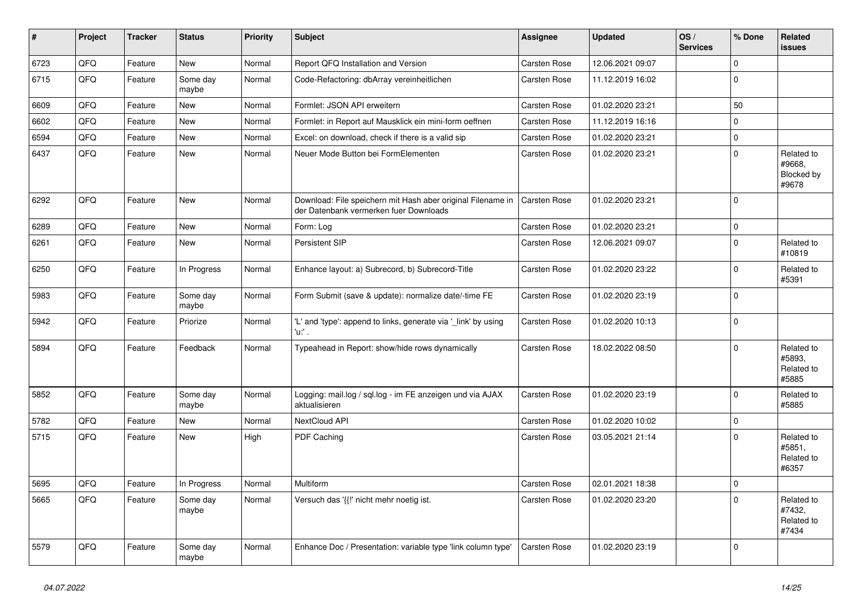| #    | Project | <b>Tracker</b> | <b>Status</b>     | <b>Priority</b> | <b>Subject</b>                                                                                        | <b>Assignee</b>     | <b>Updated</b>   | OS/<br><b>Services</b> | % Done       | Related<br><b>issues</b>                    |
|------|---------|----------------|-------------------|-----------------|-------------------------------------------------------------------------------------------------------|---------------------|------------------|------------------------|--------------|---------------------------------------------|
| 6723 | QFQ     | Feature        | New               | Normal          | Report QFQ Installation and Version                                                                   | Carsten Rose        | 12.06.2021 09:07 |                        | $\pmb{0}$    |                                             |
| 6715 | QFQ     | Feature        | Some day<br>maybe | Normal          | Code-Refactoring: dbArray vereinheitlichen                                                            | Carsten Rose        | 11.12.2019 16:02 |                        | $\mathbf 0$  |                                             |
| 6609 | QFQ     | Feature        | <b>New</b>        | Normal          | Formlet: JSON API erweitern                                                                           | <b>Carsten Rose</b> | 01.02.2020 23:21 |                        | 50           |                                             |
| 6602 | QFQ     | Feature        | <b>New</b>        | Normal          | Formlet: in Report auf Mausklick ein mini-form oeffnen                                                | Carsten Rose        | 11.12.2019 16:16 |                        | $\mathbf 0$  |                                             |
| 6594 | QFQ     | Feature        | <b>New</b>        | Normal          | Excel: on download, check if there is a valid sip                                                     | Carsten Rose        | 01.02.2020 23:21 |                        | $\mathbf 0$  |                                             |
| 6437 | QFQ     | Feature        | <b>New</b>        | Normal          | Neuer Mode Button bei FormElementen                                                                   | <b>Carsten Rose</b> | 01.02.2020 23:21 |                        | $\mathbf 0$  | Related to<br>#9668,<br>Blocked by<br>#9678 |
| 6292 | QFQ     | Feature        | <b>New</b>        | Normal          | Download: File speichern mit Hash aber original Filename in<br>der Datenbank vermerken fuer Downloads | <b>Carsten Rose</b> | 01.02.2020 23:21 |                        | $\Omega$     |                                             |
| 6289 | QFQ     | Feature        | New               | Normal          | Form: Log                                                                                             | Carsten Rose        | 01.02.2020 23:21 |                        | $\pmb{0}$    |                                             |
| 6261 | QFQ     | Feature        | New               | Normal          | Persistent SIP                                                                                        | Carsten Rose        | 12.06.2021 09:07 |                        | $\mathbf{0}$ | Related to<br>#10819                        |
| 6250 | QFQ     | Feature        | In Progress       | Normal          | Enhance layout: a) Subrecord, b) Subrecord-Title                                                      | Carsten Rose        | 01.02.2020 23:22 |                        | $\mathbf 0$  | Related to<br>#5391                         |
| 5983 | QFQ     | Feature        | Some day<br>maybe | Normal          | Form Submit (save & update): normalize date/-time FE                                                  | Carsten Rose        | 01.02.2020 23:19 |                        | $\mathbf 0$  |                                             |
| 5942 | QFQ     | Feature        | Priorize          | Normal          | 'L' and 'type': append to links, generate via '_link' by using<br>'u:' .                              | Carsten Rose        | 01.02.2020 10:13 |                        | $\Omega$     |                                             |
| 5894 | QFQ     | Feature        | Feedback          | Normal          | Typeahead in Report: show/hide rows dynamically                                                       | Carsten Rose        | 18.02.2022 08:50 |                        | $\Omega$     | Related to<br>#5893,<br>Related to<br>#5885 |
| 5852 | QFQ     | Feature        | Some day<br>maybe | Normal          | Logging: mail.log / sql.log - im FE anzeigen und via AJAX<br>aktualisieren                            | Carsten Rose        | 01.02.2020 23:19 |                        | $\mathbf 0$  | Related to<br>#5885                         |
| 5782 | QFQ     | Feature        | New               | Normal          | NextCloud API                                                                                         | Carsten Rose        | 01.02.2020 10:02 |                        | $\pmb{0}$    |                                             |
| 5715 | QFQ     | Feature        | New               | High            | PDF Caching                                                                                           | Carsten Rose        | 03.05.2021 21:14 |                        | $\Omega$     | Related to<br>#5851,<br>Related to<br>#6357 |
| 5695 | QFQ     | Feature        | In Progress       | Normal          | Multiform                                                                                             | <b>Carsten Rose</b> | 02.01.2021 18:38 |                        | $\pmb{0}$    |                                             |
| 5665 | QFQ     | Feature        | Some day<br>maybe | Normal          | Versuch das '{{!' nicht mehr noetig ist.                                                              | Carsten Rose        | 01.02.2020 23:20 |                        | $\Omega$     | Related to<br>#7432.<br>Related to<br>#7434 |
| 5579 | QFQ     | Feature        | Some day<br>maybe | Normal          | Enhance Doc / Presentation: variable type 'link column type'                                          | <b>Carsten Rose</b> | 01.02.2020 23:19 |                        | $\mathbf 0$  |                                             |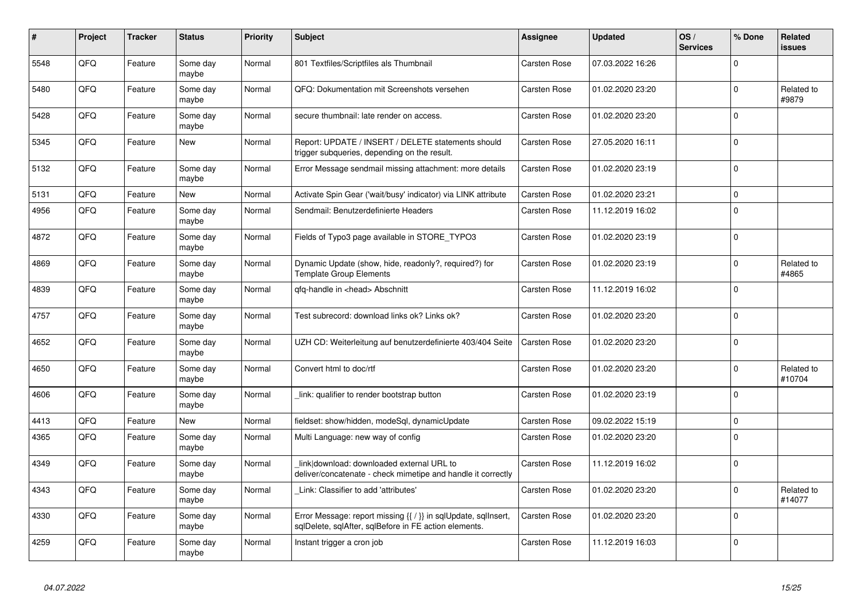| $\pmb{\sharp}$ | Project | <b>Tracker</b> | <b>Status</b>     | <b>Priority</b> | <b>Subject</b>                                                                                                          | <b>Assignee</b> | <b>Updated</b>   | OS/<br><b>Services</b> | % Done              | <b>Related</b><br><b>issues</b> |
|----------------|---------|----------------|-------------------|-----------------|-------------------------------------------------------------------------------------------------------------------------|-----------------|------------------|------------------------|---------------------|---------------------------------|
| 5548           | QFQ     | Feature        | Some day<br>maybe | Normal          | 801 Textfiles/Scriptfiles als Thumbnail                                                                                 | Carsten Rose    | 07.03.2022 16:26 |                        | $\mathbf 0$         |                                 |
| 5480           | QFQ     | Feature        | Some day<br>maybe | Normal          | QFQ: Dokumentation mit Screenshots versehen                                                                             | Carsten Rose    | 01.02.2020 23:20 |                        | $\mathbf 0$         | Related to<br>#9879             |
| 5428           | QFQ     | Feature        | Some day<br>maybe | Normal          | secure thumbnail: late render on access.                                                                                | Carsten Rose    | 01.02.2020 23:20 |                        | $\mathbf 0$         |                                 |
| 5345           | QFQ     | Feature        | New               | Normal          | Report: UPDATE / INSERT / DELETE statements should<br>trigger subqueries, depending on the result.                      | Carsten Rose    | 27.05.2020 16:11 |                        | $\mathbf 0$         |                                 |
| 5132           | QFQ     | Feature        | Some day<br>maybe | Normal          | Error Message sendmail missing attachment: more details                                                                 | Carsten Rose    | 01.02.2020 23:19 |                        | $\mathbf 0$         |                                 |
| 5131           | QFQ     | Feature        | New               | Normal          | Activate Spin Gear ('wait/busy' indicator) via LINK attribute                                                           | Carsten Rose    | 01.02.2020 23:21 |                        | $\mathsf{O}\xspace$ |                                 |
| 4956           | QFQ     | Feature        | Some day<br>maybe | Normal          | Sendmail: Benutzerdefinierte Headers                                                                                    | Carsten Rose    | 11.12.2019 16:02 |                        | $\Omega$            |                                 |
| 4872           | QFQ     | Feature        | Some day<br>maybe | Normal          | Fields of Typo3 page available in STORE_TYPO3                                                                           | Carsten Rose    | 01.02.2020 23:19 |                        | $\mathsf 0$         |                                 |
| 4869           | QFQ     | Feature        | Some day<br>maybe | Normal          | Dynamic Update (show, hide, readonly?, required?) for<br><b>Template Group Elements</b>                                 | Carsten Rose    | 01.02.2020 23:19 |                        | $\mathbf 0$         | Related to<br>#4865             |
| 4839           | QFQ     | Feature        | Some day<br>maybe | Normal          | qfq-handle in <head> Abschnitt</head>                                                                                   | Carsten Rose    | 11.12.2019 16:02 |                        | $\Omega$            |                                 |
| 4757           | QFQ     | Feature        | Some day<br>maybe | Normal          | Test subrecord: download links ok? Links ok?                                                                            | Carsten Rose    | 01.02.2020 23:20 |                        | $\mathbf 0$         |                                 |
| 4652           | QFQ     | Feature        | Some day<br>maybe | Normal          | UZH CD: Weiterleitung auf benutzerdefinierte 403/404 Seite                                                              | Carsten Rose    | 01.02.2020 23:20 |                        | $\mathbf 0$         |                                 |
| 4650           | QFQ     | Feature        | Some day<br>maybe | Normal          | Convert html to doc/rtf                                                                                                 | Carsten Rose    | 01.02.2020 23:20 |                        | $\mathbf 0$         | Related to<br>#10704            |
| 4606           | QFQ     | Feature        | Some day<br>maybe | Normal          | link: qualifier to render bootstrap button                                                                              | Carsten Rose    | 01.02.2020 23:19 |                        | $\pmb{0}$           |                                 |
| 4413           | QFQ     | Feature        | New               | Normal          | fieldset: show/hidden, modeSql, dynamicUpdate                                                                           | Carsten Rose    | 09.02.2022 15:19 |                        | $\mathbf 0$         |                                 |
| 4365           | QFQ     | Feature        | Some day<br>maybe | Normal          | Multi Language: new way of config                                                                                       | Carsten Rose    | 01.02.2020 23:20 |                        | $\mathbf 0$         |                                 |
| 4349           | QFQ     | Feature        | Some day<br>maybe | Normal          | link download: downloaded external URL to<br>deliver/concatenate - check mimetipe and handle it correctly               | Carsten Rose    | 11.12.2019 16:02 |                        | $\mathbf 0$         |                                 |
| 4343           | QFQ     | Feature        | Some day<br>maybe | Normal          | Link: Classifier to add 'attributes'                                                                                    | Carsten Rose    | 01.02.2020 23:20 |                        | $\mathbf 0$         | Related to<br>#14077            |
| 4330           | QFQ     | Feature        | Some day<br>maybe | Normal          | Error Message: report missing {{ / }} in sqlUpdate, sqlInsert,<br>sqlDelete, sqlAfter, sqlBefore in FE action elements. | Carsten Rose    | 01.02.2020 23:20 |                        | $\mathbf 0$         |                                 |
| 4259           | QFQ     | Feature        | Some day<br>maybe | Normal          | Instant trigger a cron job                                                                                              | Carsten Rose    | 11.12.2019 16:03 |                        | $\mathbf 0$         |                                 |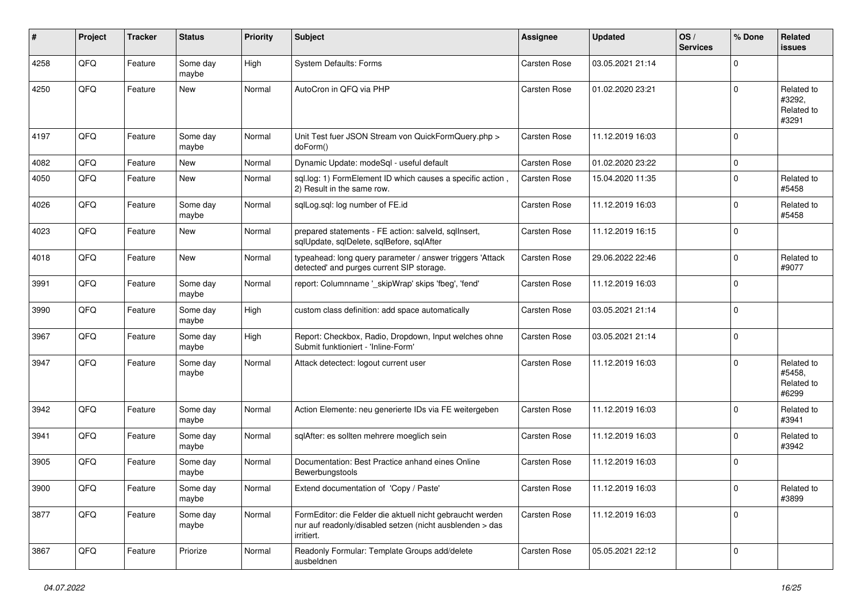| ∦    | Project | <b>Tracker</b> | <b>Status</b>     | <b>Priority</b> | Subject                                                                                                                             | Assignee            | <b>Updated</b>   | OS/<br><b>Services</b> | % Done      | Related<br><b>issues</b>                    |
|------|---------|----------------|-------------------|-----------------|-------------------------------------------------------------------------------------------------------------------------------------|---------------------|------------------|------------------------|-------------|---------------------------------------------|
| 4258 | QFQ     | Feature        | Some day<br>maybe | High            | System Defaults: Forms                                                                                                              | Carsten Rose        | 03.05.2021 21:14 |                        | $\Omega$    |                                             |
| 4250 | QFQ     | Feature        | New               | Normal          | AutoCron in QFQ via PHP                                                                                                             | Carsten Rose        | 01.02.2020 23:21 |                        | $\Omega$    | Related to<br>#3292,<br>Related to<br>#3291 |
| 4197 | QFQ     | Feature        | Some day<br>maybe | Normal          | Unit Test fuer JSON Stream von QuickFormQuery.php ><br>doForm()                                                                     | Carsten Rose        | 11.12.2019 16:03 |                        | $\Omega$    |                                             |
| 4082 | QFQ     | Feature        | New               | Normal          | Dynamic Update: modeSql - useful default                                                                                            | <b>Carsten Rose</b> | 01.02.2020 23:22 |                        | $\mathbf 0$ |                                             |
| 4050 | QFQ     | Feature        | New               | Normal          | sql.log: 1) FormElement ID which causes a specific action,<br>2) Result in the same row.                                            | Carsten Rose        | 15.04.2020 11:35 |                        | $\mathbf 0$ | Related to<br>#5458                         |
| 4026 | QFQ     | Feature        | Some day<br>maybe | Normal          | sqlLog.sql: log number of FE.id                                                                                                     | Carsten Rose        | 11.12.2019 16:03 |                        | $\mathbf 0$ | Related to<br>#5458                         |
| 4023 | QFQ     | Feature        | New               | Normal          | prepared statements - FE action: salveld, sqlInsert,<br>sqlUpdate, sqlDelete, sqlBefore, sqlAfter                                   | Carsten Rose        | 11.12.2019 16:15 |                        | $\Omega$    |                                             |
| 4018 | QFQ     | Feature        | New               | Normal          | typeahead: long query parameter / answer triggers 'Attack<br>detected' and purges current SIP storage.                              | Carsten Rose        | 29.06.2022 22:46 |                        | $\Omega$    | Related to<br>#9077                         |
| 3991 | QFQ     | Feature        | Some day<br>maybe | Normal          | report: Columnname '_skipWrap' skips 'fbeg', 'fend'                                                                                 | Carsten Rose        | 11.12.2019 16:03 |                        | $\Omega$    |                                             |
| 3990 | QFQ     | Feature        | Some day<br>maybe | High            | custom class definition: add space automatically                                                                                    | <b>Carsten Rose</b> | 03.05.2021 21:14 |                        | $\mathbf 0$ |                                             |
| 3967 | QFQ     | Feature        | Some day<br>maybe | High            | Report: Checkbox, Radio, Dropdown, Input welches ohne<br>Submit funktioniert - 'Inline-Form'                                        | Carsten Rose        | 03.05.2021 21:14 |                        | $\Omega$    |                                             |
| 3947 | QFQ     | Feature        | Some day<br>maybe | Normal          | Attack detectect: logout current user                                                                                               | Carsten Rose        | 11.12.2019 16:03 |                        | $\Omega$    | Related to<br>#5458,<br>Related to<br>#6299 |
| 3942 | QFQ     | Feature        | Some day<br>maybe | Normal          | Action Elemente: neu generierte IDs via FE weitergeben                                                                              | Carsten Rose        | 11.12.2019 16:03 |                        | $\Omega$    | Related to<br>#3941                         |
| 3941 | QFQ     | Feature        | Some day<br>maybe | Normal          | sqlAfter: es sollten mehrere moeglich sein                                                                                          | Carsten Rose        | 11.12.2019 16:03 |                        | $\Omega$    | Related to<br>#3942                         |
| 3905 | QFQ     | Feature        | Some day<br>maybe | Normal          | Documentation: Best Practice anhand eines Online<br>Bewerbungstools                                                                 | Carsten Rose        | 11.12.2019 16:03 |                        | $\Omega$    |                                             |
| 3900 | QFQ     | Feature        | Some day<br>maybe | Normal          | Extend documentation of 'Copy / Paste'                                                                                              | Carsten Rose        | 11.12.2019 16:03 |                        | $\pmb{0}$   | Related to<br>#3899                         |
| 3877 | QFQ     | Feature        | Some day<br>maybe | Normal          | FormEditor: die Felder die aktuell nicht gebraucht werden<br>nur auf readonly/disabled setzen (nicht ausblenden > das<br>irritiert. | Carsten Rose        | 11.12.2019 16:03 |                        | $\mathbf 0$ |                                             |
| 3867 | QFQ     | Feature        | Priorize          | Normal          | Readonly Formular: Template Groups add/delete<br>ausbeldnen                                                                         | Carsten Rose        | 05.05.2021 22:12 |                        | $\Omega$    |                                             |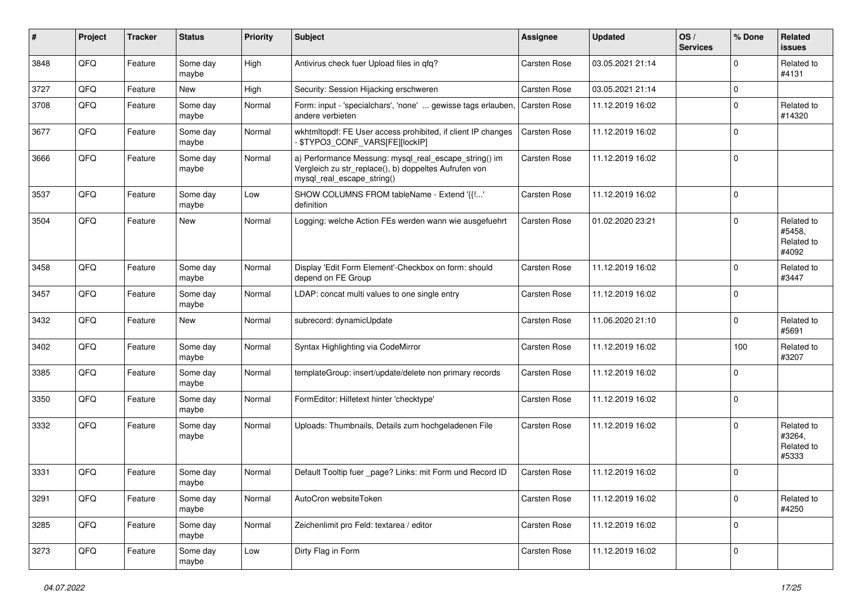| #    | Project | <b>Tracker</b> | <b>Status</b>     | <b>Priority</b> | Subject                                                                                                                                      | <b>Assignee</b>     | <b>Updated</b>   | OS/<br><b>Services</b> | % Done      | Related<br><b>issues</b>                    |
|------|---------|----------------|-------------------|-----------------|----------------------------------------------------------------------------------------------------------------------------------------------|---------------------|------------------|------------------------|-------------|---------------------------------------------|
| 3848 | QFQ     | Feature        | Some day<br>maybe | High            | Antivirus check fuer Upload files in qfq?                                                                                                    | Carsten Rose        | 03.05.2021 21:14 |                        | $\mathbf 0$ | Related to<br>#4131                         |
| 3727 | QFQ     | Feature        | New               | High            | Security: Session Hijacking erschweren                                                                                                       | Carsten Rose        | 03.05.2021 21:14 |                        | $\mathbf 0$ |                                             |
| 3708 | QFQ     | Feature        | Some day<br>maybe | Normal          | Form: input - 'specialchars', 'none'  gewisse tags erlauben,<br>andere verbieten                                                             | <b>Carsten Rose</b> | 11.12.2019 16:02 |                        | $\mathbf 0$ | Related to<br>#14320                        |
| 3677 | QFQ     | Feature        | Some day<br>maybe | Normal          | wkhtmltopdf: FE User access prohibited, if client IP changes<br>- \$TYPO3_CONF_VARS[FE][lockIP]                                              | <b>Carsten Rose</b> | 11.12.2019 16:02 |                        | $\mathbf 0$ |                                             |
| 3666 | QFQ     | Feature        | Some day<br>maybe | Normal          | a) Performance Messung: mysql_real_escape_string() im<br>Vergleich zu str_replace(), b) doppeltes Aufrufen von<br>mysql real escape string() | Carsten Rose        | 11.12.2019 16:02 |                        | $\mathbf 0$ |                                             |
| 3537 | QFQ     | Feature        | Some day<br>maybe | Low             | SHOW COLUMNS FROM tableName - Extend '{{!'<br>definition                                                                                     | Carsten Rose        | 11.12.2019 16:02 |                        | $\mathbf 0$ |                                             |
| 3504 | QFQ     | Feature        | New               | Normal          | Logging: welche Action FEs werden wann wie ausgefuehrt                                                                                       | Carsten Rose        | 01.02.2020 23:21 |                        | $\mathbf 0$ | Related to<br>#5458,<br>Related to<br>#4092 |
| 3458 | QFQ     | Feature        | Some day<br>maybe | Normal          | Display 'Edit Form Element'-Checkbox on form: should<br>depend on FE Group                                                                   | <b>Carsten Rose</b> | 11.12.2019 16:02 |                        | $\mathbf 0$ | Related to<br>#3447                         |
| 3457 | QFQ     | Feature        | Some day<br>maybe | Normal          | LDAP: concat multi values to one single entry                                                                                                | Carsten Rose        | 11.12.2019 16:02 |                        | $\mathbf 0$ |                                             |
| 3432 | QFQ     | Feature        | New               | Normal          | subrecord: dynamicUpdate                                                                                                                     | Carsten Rose        | 11.06.2020 21:10 |                        | $\mathbf 0$ | Related to<br>#5691                         |
| 3402 | QFQ     | Feature        | Some day<br>maybe | Normal          | Syntax Highlighting via CodeMirror                                                                                                           | <b>Carsten Rose</b> | 11.12.2019 16:02 |                        | 100         | Related to<br>#3207                         |
| 3385 | QFQ     | Feature        | Some day<br>maybe | Normal          | templateGroup: insert/update/delete non primary records                                                                                      | Carsten Rose        | 11.12.2019 16:02 |                        | $\mathbf 0$ |                                             |
| 3350 | QFQ     | Feature        | Some day<br>maybe | Normal          | FormEditor: Hilfetext hinter 'checktype'                                                                                                     | Carsten Rose        | 11.12.2019 16:02 |                        | $\mathbf 0$ |                                             |
| 3332 | QFQ     | Feature        | Some day<br>maybe | Normal          | Uploads: Thumbnails, Details zum hochgeladenen File                                                                                          | Carsten Rose        | 11.12.2019 16:02 |                        | $\Omega$    | Related to<br>#3264,<br>Related to<br>#5333 |
| 3331 | QFQ     | Feature        | Some day<br>maybe | Normal          | Default Tooltip fuer _page? Links: mit Form und Record ID                                                                                    | Carsten Rose        | 11.12.2019 16:02 |                        | $\mathbf 0$ |                                             |
| 3291 | QFQ     | Feature        | Some day<br>maybe | Normal          | AutoCron websiteToken                                                                                                                        | Carsten Rose        | 11.12.2019 16:02 |                        | $\pmb{0}$   | Related to<br>#4250                         |
| 3285 | QFQ     | Feature        | Some day<br>maybe | Normal          | Zeichenlimit pro Feld: textarea / editor                                                                                                     | Carsten Rose        | 11.12.2019 16:02 |                        | $\pmb{0}$   |                                             |
| 3273 | QFG     | Feature        | Some day<br>maybe | Low             | Dirty Flag in Form                                                                                                                           | Carsten Rose        | 11.12.2019 16:02 |                        | $\pmb{0}$   |                                             |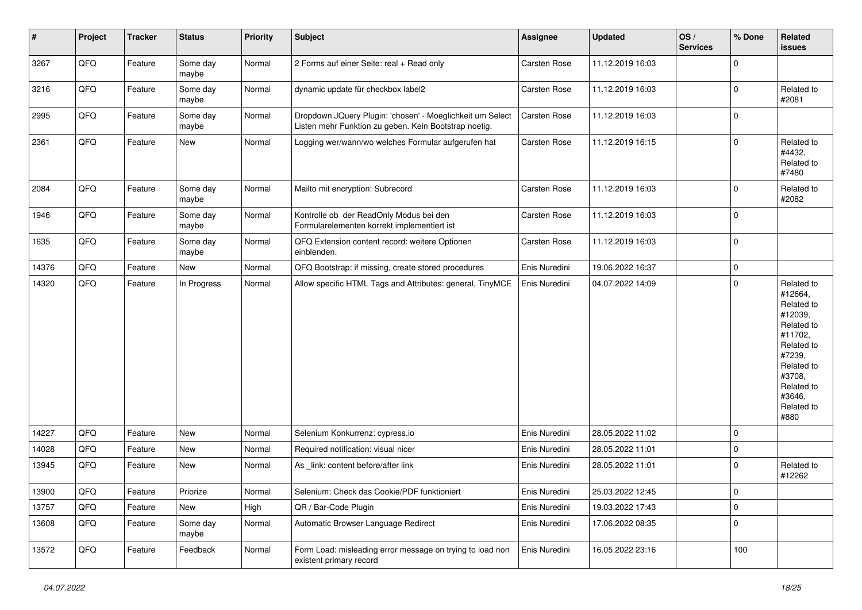| $\vert$ # | Project | <b>Tracker</b> | <b>Status</b>     | <b>Priority</b> | <b>Subject</b>                                                                                                     | <b>Assignee</b>     | Updated          | OS/<br><b>Services</b> | % Done      | Related<br><b>issues</b>                                                                                                                                              |
|-----------|---------|----------------|-------------------|-----------------|--------------------------------------------------------------------------------------------------------------------|---------------------|------------------|------------------------|-------------|-----------------------------------------------------------------------------------------------------------------------------------------------------------------------|
| 3267      | QFQ     | Feature        | Some day<br>maybe | Normal          | 2 Forms auf einer Seite: real + Read only                                                                          | Carsten Rose        | 11.12.2019 16:03 |                        | $\mathbf 0$ |                                                                                                                                                                       |
| 3216      | QFQ     | Feature        | Some day<br>maybe | Normal          | dynamic update für checkbox label2                                                                                 | Carsten Rose        | 11.12.2019 16:03 |                        | $\mathbf 0$ | Related to<br>#2081                                                                                                                                                   |
| 2995      | QFQ     | Feature        | Some day<br>maybe | Normal          | Dropdown JQuery Plugin: 'chosen' - Moeglichkeit um Select<br>Listen mehr Funktion zu geben. Kein Bootstrap noetig. | Carsten Rose        | 11.12.2019 16:03 |                        | $\mathbf 0$ |                                                                                                                                                                       |
| 2361      | QFQ     | Feature        | New               | Normal          | Logging wer/wann/wo welches Formular aufgerufen hat                                                                | <b>Carsten Rose</b> | 11.12.2019 16:15 |                        | $\mathbf 0$ | Related to<br>#4432,<br>Related to<br>#7480                                                                                                                           |
| 2084      | QFQ     | Feature        | Some day<br>maybe | Normal          | Mailto mit encryption: Subrecord                                                                                   | Carsten Rose        | 11.12.2019 16:03 |                        | $\mathbf 0$ | Related to<br>#2082                                                                                                                                                   |
| 1946      | QFQ     | Feature        | Some day<br>maybe | Normal          | Kontrolle ob der ReadOnly Modus bei den<br>Formularelementen korrekt implementiert ist                             | Carsten Rose        | 11.12.2019 16:03 |                        | $\mathbf 0$ |                                                                                                                                                                       |
| 1635      | QFQ     | Feature        | Some day<br>maybe | Normal          | QFQ Extension content record: weitere Optionen<br>einblenden.                                                      | Carsten Rose        | 11.12.2019 16:03 |                        | $\mathbf 0$ |                                                                                                                                                                       |
| 14376     | QFQ     | Feature        | New               | Normal          | QFQ Bootstrap: if missing, create stored procedures                                                                | Enis Nuredini       | 19.06.2022 16:37 |                        | $\pmb{0}$   |                                                                                                                                                                       |
| 14320     | QFQ     | Feature        | In Progress       | Normal          | Allow specific HTML Tags and Attributes: general, TinyMCE                                                          | Enis Nuredini       | 04.07.2022 14:09 |                        | $\mathbf 0$ | Related to<br>#12664,<br>Related to<br>#12039,<br>Related to<br>#11702,<br>Related to<br>#7239,<br>Related to<br>#3708,<br>Related to<br>#3646,<br>Related to<br>#880 |
| 14227     | QFQ     | Feature        | <b>New</b>        | Normal          | Selenium Konkurrenz: cypress.io                                                                                    | Enis Nuredini       | 28.05.2022 11:02 |                        | $\mathbf 0$ |                                                                                                                                                                       |
| 14028     | QFQ     | Feature        | New               | Normal          | Required notification: visual nicer                                                                                | Enis Nuredini       | 28.05.2022 11:01 |                        | $\pmb{0}$   |                                                                                                                                                                       |
| 13945     | QFQ     | Feature        | New               | Normal          | As link: content before/after link                                                                                 | Enis Nuredini       | 28.05.2022 11:01 |                        | $\mathbf 0$ | Related to<br>#12262                                                                                                                                                  |
| 13900     | QFQ     | Feature        | Priorize          | Normal          | Selenium: Check das Cookie/PDF funktioniert                                                                        | Enis Nuredini       | 25.03.2022 12:45 |                        | 0           |                                                                                                                                                                       |
| 13757     | QFQ     | Feature        | New               | High            | QR / Bar-Code Plugin                                                                                               | Enis Nuredini       | 19.03.2022 17:43 |                        | $\pmb{0}$   |                                                                                                                                                                       |
| 13608     | QFQ     | Feature        | Some day<br>maybe | Normal          | Automatic Browser Language Redirect                                                                                | Enis Nuredini       | 17.06.2022 08:35 |                        | $\pmb{0}$   |                                                                                                                                                                       |
| 13572     | QFQ     | Feature        | Feedback          | Normal          | Form Load: misleading error message on trying to load non<br>existent primary record                               | Enis Nuredini       | 16.05.2022 23:16 |                        | 100         |                                                                                                                                                                       |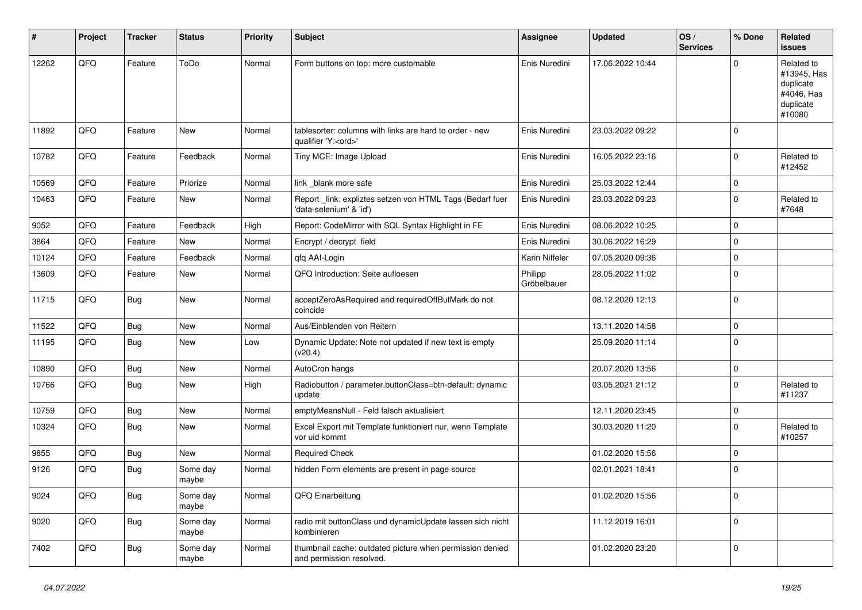| #     | Project | <b>Tracker</b> | <b>Status</b>     | <b>Priority</b> | <b>Subject</b>                                                                        | <b>Assignee</b>        | <b>Updated</b>   | OS/<br><b>Services</b> | % Done      | Related<br><b>issues</b>                                                    |
|-------|---------|----------------|-------------------|-----------------|---------------------------------------------------------------------------------------|------------------------|------------------|------------------------|-------------|-----------------------------------------------------------------------------|
| 12262 | QFQ     | Feature        | ToDo              | Normal          | Form buttons on top: more customable                                                  | Enis Nuredini          | 17.06.2022 10:44 |                        | $\Omega$    | Related to<br>#13945, Has<br>duplicate<br>#4046, Has<br>duplicate<br>#10080 |
| 11892 | QFQ     | Feature        | New               | Normal          | tablesorter: columns with links are hard to order - new<br>qualifier 'Y: <ord>'</ord> | Enis Nuredini          | 23.03.2022 09:22 |                        | $\mathbf 0$ |                                                                             |
| 10782 | QFQ     | Feature        | Feedback          | Normal          | Tiny MCE: Image Upload                                                                | Enis Nuredini          | 16.05.2022 23:16 |                        | $\mathbf 0$ | Related to<br>#12452                                                        |
| 10569 | QFQ     | Feature        | Priorize          | Normal          | link _blank more safe                                                                 | Enis Nuredini          | 25.03.2022 12:44 |                        | $\mathbf 0$ |                                                                             |
| 10463 | QFQ     | Feature        | New               | Normal          | Report_link: expliztes setzen von HTML Tags (Bedarf fuer<br>'data-selenium' & 'id')   | Enis Nuredini          | 23.03.2022 09:23 |                        | $\mathbf 0$ | Related to<br>#7648                                                         |
| 9052  | QFQ     | Feature        | Feedback          | High            | Report: CodeMirror with SQL Syntax Highlight in FE                                    | Enis Nuredini          | 08.06.2022 10:25 |                        | $\mathbf 0$ |                                                                             |
| 3864  | QFQ     | Feature        | New               | Normal          | Encrypt / decrypt field                                                               | Enis Nuredini          | 30.06.2022 16:29 |                        | $\mathbf 0$ |                                                                             |
| 10124 | QFQ     | Feature        | Feedback          | Normal          | gfg AAI-Login                                                                         | Karin Niffeler         | 07.05.2020 09:36 |                        | $\mathbf 0$ |                                                                             |
| 13609 | QFQ     | Feature        | New               | Normal          | QFQ Introduction: Seite aufloesen                                                     | Philipp<br>Gröbelbauer | 28.05.2022 11:02 |                        | $\mathbf 0$ |                                                                             |
| 11715 | QFQ     | <b>Bug</b>     | New               | Normal          | acceptZeroAsRequired and requiredOffButMark do not<br>coincide                        |                        | 08.12.2020 12:13 |                        | $\mathbf 0$ |                                                                             |
| 11522 | QFQ     | Bug            | New               | Normal          | Aus/Einblenden von Reitern                                                            |                        | 13.11.2020 14:58 |                        | $\mathbf 0$ |                                                                             |
| 11195 | QFQ     | Bug            | New               | Low             | Dynamic Update: Note not updated if new text is empty<br>(v20.4)                      |                        | 25.09.2020 11:14 |                        | $\mathbf 0$ |                                                                             |
| 10890 | QFQ     | <b>Bug</b>     | New               | Normal          | AutoCron hangs                                                                        |                        | 20.07.2020 13:56 |                        | $\mathbf 0$ |                                                                             |
| 10766 | QFQ     | <b>Bug</b>     | New               | High            | Radiobutton / parameter.buttonClass=btn-default: dynamic<br>update                    |                        | 03.05.2021 21:12 |                        | $\mathbf 0$ | Related to<br>#11237                                                        |
| 10759 | QFQ     | <b>Bug</b>     | New               | Normal          | emptyMeansNull - Feld falsch aktualisiert                                             |                        | 12.11.2020 23:45 |                        | $\mathbf 0$ |                                                                             |
| 10324 | QFQ     | Bug            | New               | Normal          | Excel Export mit Template funktioniert nur, wenn Template<br>vor uid kommt            |                        | 30.03.2020 11:20 |                        | $\mathbf 0$ | Related to<br>#10257                                                        |
| 9855  | QFQ     | Bug            | New               | Normal          | <b>Required Check</b>                                                                 |                        | 01.02.2020 15:56 |                        | $\mathbf 0$ |                                                                             |
| 9126  | QFQ     | <b>Bug</b>     | Some day<br>maybe | Normal          | hidden Form elements are present in page source                                       |                        | 02.01.2021 18:41 |                        | $\mathbf 0$ |                                                                             |
| 9024  | QFG     | Bug            | Some day<br>maybe | Normal          | QFQ Einarbeitung                                                                      |                        | 01.02.2020 15:56 |                        | $\mathbf 0$ |                                                                             |
| 9020  | QFG     | <b>Bug</b>     | Some day<br>maybe | Normal          | radio mit buttonClass und dynamicUpdate lassen sich nicht<br>kombinieren              |                        | 11.12.2019 16:01 |                        | $\mathbf 0$ |                                                                             |
| 7402  | QFG     | <b>Bug</b>     | Some day<br>maybe | Normal          | thumbnail cache: outdated picture when permission denied<br>and permission resolved.  |                        | 01.02.2020 23:20 |                        | $\pmb{0}$   |                                                                             |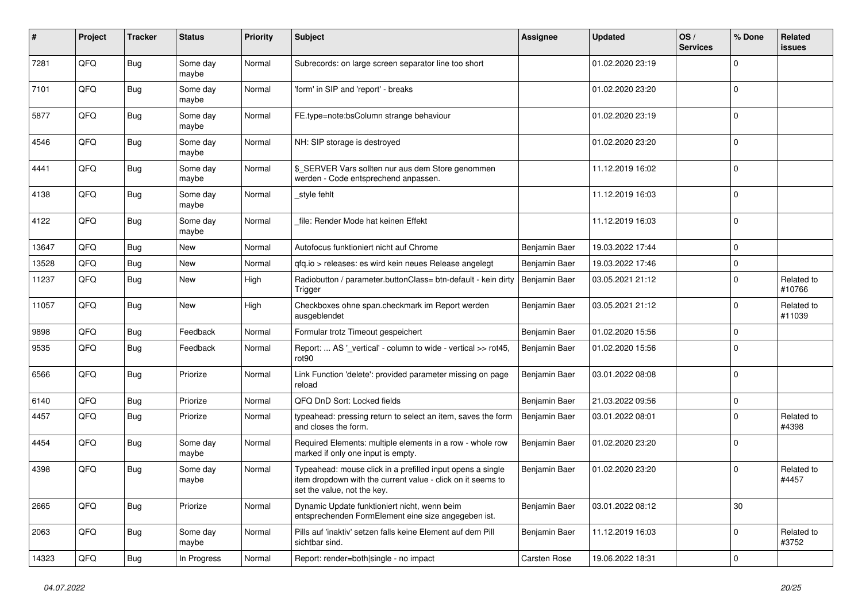| #     | Project | <b>Tracker</b> | <b>Status</b>     | <b>Priority</b> | <b>Subject</b>                                                                                                                                           | <b>Assignee</b> | <b>Updated</b>   | OS/<br><b>Services</b> | % Done       | <b>Related</b><br><b>issues</b> |
|-------|---------|----------------|-------------------|-----------------|----------------------------------------------------------------------------------------------------------------------------------------------------------|-----------------|------------------|------------------------|--------------|---------------------------------|
| 7281  | QFQ     | Bug            | Some day<br>maybe | Normal          | Subrecords: on large screen separator line too short                                                                                                     |                 | 01.02.2020 23:19 |                        | $\Omega$     |                                 |
| 7101  | QFQ     | Bug            | Some day<br>maybe | Normal          | 'form' in SIP and 'report' - breaks                                                                                                                      |                 | 01.02.2020 23:20 |                        | $\mathbf 0$  |                                 |
| 5877  | QFQ     | Bug            | Some day<br>maybe | Normal          | FE.type=note:bsColumn strange behaviour                                                                                                                  |                 | 01.02.2020 23:19 |                        | $\Omega$     |                                 |
| 4546  | QFQ     | Bug            | Some day<br>maybe | Normal          | NH: SIP storage is destroyed                                                                                                                             |                 | 01.02.2020 23:20 |                        | $\Omega$     |                                 |
| 4441  | QFQ     | <b>Bug</b>     | Some day<br>maybe | Normal          | \$ SERVER Vars sollten nur aus dem Store genommen<br>werden - Code entsprechend anpassen.                                                                |                 | 11.12.2019 16:02 |                        | $\Omega$     |                                 |
| 4138  | QFQ     | <b>Bug</b>     | Some day<br>maybe | Normal          | _style fehlt                                                                                                                                             |                 | 11.12.2019 16:03 |                        | $\Omega$     |                                 |
| 4122  | QFQ     | Bug            | Some day<br>maybe | Normal          | file: Render Mode hat keinen Effekt                                                                                                                      |                 | 11.12.2019 16:03 |                        | $\Omega$     |                                 |
| 13647 | QFQ     | <b>Bug</b>     | <b>New</b>        | Normal          | Autofocus funktioniert nicht auf Chrome                                                                                                                  | Benjamin Baer   | 19.03.2022 17:44 |                        | $\mathbf{0}$ |                                 |
| 13528 | QFQ     | Bug            | New               | Normal          | qfq.io > releases: es wird kein neues Release angelegt                                                                                                   | Benjamin Baer   | 19.03.2022 17:46 |                        | $\Omega$     |                                 |
| 11237 | QFQ     | Bug            | New               | High            | Radiobutton / parameter.buttonClass= btn-default - kein dirty<br>Trigger                                                                                 | Benjamin Baer   | 03.05.2021 21:12 |                        | $\Omega$     | Related to<br>#10766            |
| 11057 | QFQ     | Bug            | <b>New</b>        | High            | Checkboxes ohne span.checkmark im Report werden<br>ausgeblendet                                                                                          | Benjamin Baer   | 03.05.2021 21:12 |                        | $\Omega$     | Related to<br>#11039            |
| 9898  | QFQ     | Bug            | Feedback          | Normal          | Formular trotz Timeout gespeichert                                                                                                                       | Benjamin Baer   | 01.02.2020 15:56 |                        | $\Omega$     |                                 |
| 9535  | QFQ     | <b>Bug</b>     | Feedback          | Normal          | Report:  AS '_vertical' - column to wide - vertical >> rot45,<br>rot90                                                                                   | Benjamin Baer   | 01.02.2020 15:56 |                        | $\mathbf 0$  |                                 |
| 6566  | QFQ     | Bug            | Priorize          | Normal          | Link Function 'delete': provided parameter missing on page<br>reload                                                                                     | Benjamin Baer   | 03.01.2022 08:08 |                        | $\Omega$     |                                 |
| 6140  | QFQ     | Bug            | Priorize          | Normal          | QFQ DnD Sort: Locked fields                                                                                                                              | Benjamin Baer   | 21.03.2022 09:56 |                        | $\mathbf 0$  |                                 |
| 4457  | QFQ     | Bug            | Priorize          | Normal          | typeahead: pressing return to select an item, saves the form<br>and closes the form.                                                                     | Benjamin Baer   | 03.01.2022 08:01 |                        | $\Omega$     | Related to<br>#4398             |
| 4454  | QFQ     | <b>Bug</b>     | Some day<br>maybe | Normal          | Required Elements: multiple elements in a row - whole row<br>marked if only one input is empty.                                                          | Benjamin Baer   | 01.02.2020 23:20 |                        | $\Omega$     |                                 |
| 4398  | QFQ     | Bug            | Some day<br>maybe | Normal          | Typeahead: mouse click in a prefilled input opens a single<br>item dropdown with the current value - click on it seems to<br>set the value, not the key. | Benjamin Baer   | 01.02.2020 23:20 |                        | $\Omega$     | Related to<br>#4457             |
| 2665  | QFQ     | <b>Bug</b>     | Priorize          | Normal          | Dynamic Update funktioniert nicht, wenn beim<br>entsprechenden FormElement eine size angegeben ist.                                                      | Benjamin Baer   | 03.01.2022 08:12 |                        | $30\,$       |                                 |
| 2063  | QFQ     | <b>Bug</b>     | Some day<br>maybe | Normal          | Pills auf 'inaktiv' setzen falls keine Element auf dem Pill<br>sichtbar sind.                                                                            | Benjamin Baer   | 11.12.2019 16:03 |                        | $\mathbf 0$  | Related to<br>#3752             |
| 14323 | QFQ     | Bug            | In Progress       | Normal          | Report: render=both single - no impact                                                                                                                   | Carsten Rose    | 19.06.2022 18:31 |                        | $\mathbf 0$  |                                 |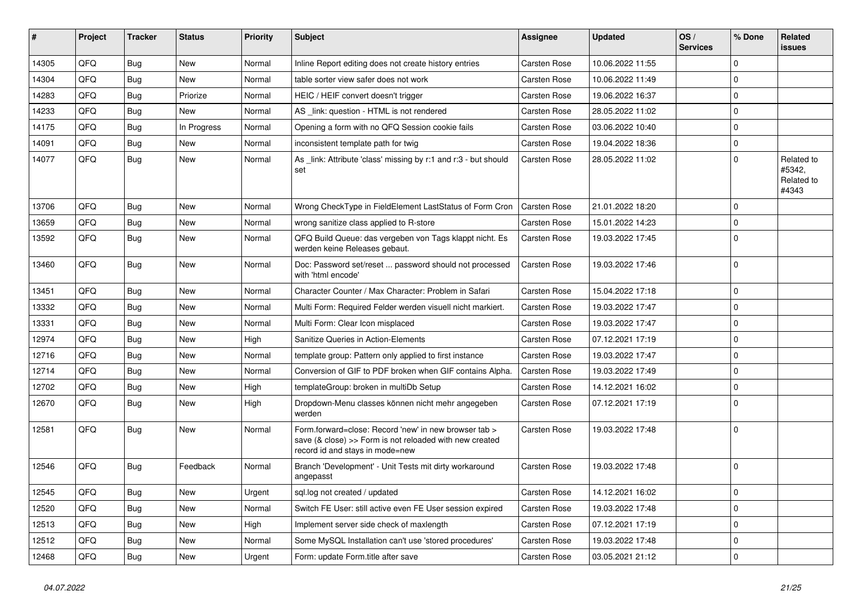| #     | Project | <b>Tracker</b> | <b>Status</b> | <b>Priority</b> | <b>Subject</b>                                                                                                                                      | <b>Assignee</b>     | <b>Updated</b>   | OS/<br><b>Services</b> | % Done       | Related<br><b>issues</b>                    |
|-------|---------|----------------|---------------|-----------------|-----------------------------------------------------------------------------------------------------------------------------------------------------|---------------------|------------------|------------------------|--------------|---------------------------------------------|
| 14305 | QFQ     | Bug            | <b>New</b>    | Normal          | Inline Report editing does not create history entries                                                                                               | Carsten Rose        | 10.06.2022 11:55 |                        | $\mathbf{0}$ |                                             |
| 14304 | QFQ     | Bug            | <b>New</b>    | Normal          | table sorter view safer does not work                                                                                                               | Carsten Rose        | 10.06.2022 11:49 |                        | $\Omega$     |                                             |
| 14283 | QFQ     | Bug            | Priorize      | Normal          | HEIC / HEIF convert doesn't trigger                                                                                                                 | Carsten Rose        | 19.06.2022 16:37 |                        | $\mathbf 0$  |                                             |
| 14233 | QFQ     | Bug            | <b>New</b>    | Normal          | AS link: question - HTML is not rendered                                                                                                            | Carsten Rose        | 28.05.2022 11:02 |                        | $\mathbf{0}$ |                                             |
| 14175 | QFQ     | <b>Bug</b>     | In Progress   | Normal          | Opening a form with no QFQ Session cookie fails                                                                                                     | Carsten Rose        | 03.06.2022 10:40 |                        | $\mathbf{0}$ |                                             |
| 14091 | QFQ     | <b>Bug</b>     | New           | Normal          | inconsistent template path for twig                                                                                                                 | Carsten Rose        | 19.04.2022 18:36 |                        | $\mathbf{0}$ |                                             |
| 14077 | QFQ     | <b>Bug</b>     | <b>New</b>    | Normal          | As _link: Attribute 'class' missing by r:1 and r:3 - but should<br>set                                                                              | <b>Carsten Rose</b> | 28.05.2022 11:02 |                        | $\mathbf 0$  | Related to<br>#5342,<br>Related to<br>#4343 |
| 13706 | QFQ     | Bug            | <b>New</b>    | Normal          | Wrong CheckType in FieldElement LastStatus of Form Cron                                                                                             | <b>Carsten Rose</b> | 21.01.2022 18:20 |                        | $\mathbf{0}$ |                                             |
| 13659 | QFQ     | <b>Bug</b>     | <b>New</b>    | Normal          | wrong sanitize class applied to R-store                                                                                                             | Carsten Rose        | 15.01.2022 14:23 |                        | $\Omega$     |                                             |
| 13592 | QFQ     | Bug            | <b>New</b>    | Normal          | QFQ Build Queue: das vergeben von Tags klappt nicht. Es<br>werden keine Releases gebaut.                                                            | Carsten Rose        | 19.03.2022 17:45 |                        | $\mathbf{0}$ |                                             |
| 13460 | QFQ     | Bug            | <b>New</b>    | Normal          | Doc: Password set/reset  password should not processed<br>with 'html encode'                                                                        | <b>Carsten Rose</b> | 19.03.2022 17:46 |                        | $\mathbf{0}$ |                                             |
| 13451 | QFQ     | <b>Bug</b>     | New           | Normal          | Character Counter / Max Character: Problem in Safari                                                                                                | Carsten Rose        | 15.04.2022 17:18 |                        | $\mathbf 0$  |                                             |
| 13332 | QFQ     | <b>Bug</b>     | <b>New</b>    | Normal          | Multi Form: Required Felder werden visuell nicht markiert.                                                                                          | Carsten Rose        | 19.03.2022 17:47 |                        | $\mathbf 0$  |                                             |
| 13331 | QFQ     | <b>Bug</b>     | <b>New</b>    | Normal          | Multi Form: Clear Icon misplaced                                                                                                                    | Carsten Rose        | 19.03.2022 17:47 |                        | $\mathbf 0$  |                                             |
| 12974 | QFQ     | <b>Bug</b>     | New           | High            | Sanitize Queries in Action-Elements                                                                                                                 | Carsten Rose        | 07.12.2021 17:19 |                        | $\mathbf 0$  |                                             |
| 12716 | QFQ     | <b>Bug</b>     | <b>New</b>    | Normal          | template group: Pattern only applied to first instance                                                                                              | <b>Carsten Rose</b> | 19.03.2022 17:47 |                        | $\mathbf 0$  |                                             |
| 12714 | QFQ     | <b>Bug</b>     | <b>New</b>    | Normal          | Conversion of GIF to PDF broken when GIF contains Alpha.                                                                                            | <b>Carsten Rose</b> | 19.03.2022 17:49 |                        | $\mathbf 0$  |                                             |
| 12702 | QFQ     | <b>Bug</b>     | <b>New</b>    | High            | templateGroup: broken in multiDb Setup                                                                                                              | Carsten Rose        | 14.12.2021 16:02 |                        | $\mathbf{0}$ |                                             |
| 12670 | QFQ     | Bug            | <b>New</b>    | High            | Dropdown-Menu classes können nicht mehr angegeben<br>werden                                                                                         | Carsten Rose        | 07.12.2021 17:19 |                        | $\mathbf{0}$ |                                             |
| 12581 | QFQ     | Bug            | <b>New</b>    | Normal          | Form.forward=close: Record 'new' in new browser tab ><br>save (& close) >> Form is not reloaded with new created<br>record id and stays in mode=new | Carsten Rose        | 19.03.2022 17:48 |                        | $\mathbf{0}$ |                                             |
| 12546 | QFQ     | Bug            | Feedback      | Normal          | Branch 'Development' - Unit Tests mit dirty workaround<br>angepasst                                                                                 | Carsten Rose        | 19.03.2022 17:48 |                        | $\Omega$     |                                             |
| 12545 | QFQ     | <b>Bug</b>     | <b>New</b>    | Urgent          | sql.log not created / updated                                                                                                                       | Carsten Rose        | 14.12.2021 16:02 |                        | $\mathbf{0}$ |                                             |
| 12520 | QFQ     | Bug            | <b>New</b>    | Normal          | Switch FE User: still active even FE User session expired                                                                                           | Carsten Rose        | 19.03.2022 17:48 |                        | $\mathbf{0}$ |                                             |
| 12513 | QFQ     | Bug            | <b>New</b>    | High            | Implement server side check of maxlength                                                                                                            | Carsten Rose        | 07.12.2021 17:19 |                        | $\mathbf 0$  |                                             |
| 12512 | QFQ     | Bug            | New           | Normal          | Some MySQL Installation can't use 'stored procedures'                                                                                               | Carsten Rose        | 19.03.2022 17:48 |                        | $\mathbf{0}$ |                                             |
| 12468 | QFQ     | Bug            | <b>New</b>    | Urgent          | Form: update Form.title after save                                                                                                                  | Carsten Rose        | 03.05.2021 21:12 |                        | $\mathbf 0$  |                                             |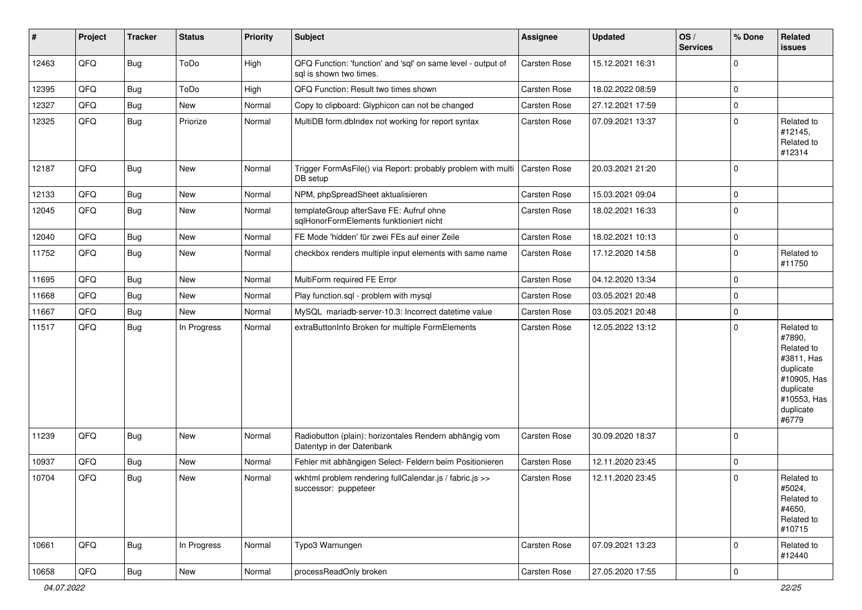| #     | Project | <b>Tracker</b> | <b>Status</b> | <b>Priority</b> | Subject                                                                                 | <b>Assignee</b>     | <b>Updated</b>   | OS/<br><b>Services</b> | % Done      | Related<br>issues                                                                                                              |
|-------|---------|----------------|---------------|-----------------|-----------------------------------------------------------------------------------------|---------------------|------------------|------------------------|-------------|--------------------------------------------------------------------------------------------------------------------------------|
| 12463 | QFQ     | <b>Bug</b>     | ToDo          | High            | QFQ Function: 'function' and 'sql' on same level - output of<br>sql is shown two times. | Carsten Rose        | 15.12.2021 16:31 |                        | $\Omega$    |                                                                                                                                |
| 12395 | QFQ     | <b>Bug</b>     | ToDo          | High            | QFQ Function: Result two times shown                                                    | <b>Carsten Rose</b> | 18.02.2022 08:59 |                        | $\Omega$    |                                                                                                                                |
| 12327 | QFQ     | <b>Bug</b>     | New           | Normal          | Copy to clipboard: Glyphicon can not be changed                                         | <b>Carsten Rose</b> | 27.12.2021 17:59 |                        | 0           |                                                                                                                                |
| 12325 | QFQ     | <b>Bug</b>     | Priorize      | Normal          | MultiDB form.dblndex not working for report syntax                                      | Carsten Rose        | 07.09.2021 13:37 |                        | $\mathbf 0$ | Related to<br>#12145,<br>Related to<br>#12314                                                                                  |
| 12187 | QFQ     | <b>Bug</b>     | New           | Normal          | Trigger FormAsFile() via Report: probably problem with multi<br>DB setup                | Carsten Rose        | 20.03.2021 21:20 |                        | $\Omega$    |                                                                                                                                |
| 12133 | QFQ     | <b>Bug</b>     | New           | Normal          | NPM, phpSpreadSheet aktualisieren                                                       | Carsten Rose        | 15.03.2021 09:04 |                        | 0           |                                                                                                                                |
| 12045 | QFQ     | <b>Bug</b>     | New           | Normal          | templateGroup afterSave FE: Aufruf ohne<br>sqlHonorFormElements funktioniert nicht      | Carsten Rose        | 18.02.2021 16:33 |                        | $\Omega$    |                                                                                                                                |
| 12040 | QFQ     | <b>Bug</b>     | New           | Normal          | FE Mode 'hidden' für zwei FEs auf einer Zeile                                           | Carsten Rose        | 18.02.2021 10:13 |                        | 0           |                                                                                                                                |
| 11752 | QFQ     | <b>Bug</b>     | New           | Normal          | checkbox renders multiple input elements with same name                                 | Carsten Rose        | 17.12.2020 14:58 |                        | 0           | Related to<br>#11750                                                                                                           |
| 11695 | QFQ     | <b>Bug</b>     | New           | Normal          | MultiForm required FE Error                                                             | Carsten Rose        | 04.12.2020 13:34 |                        | 0           |                                                                                                                                |
| 11668 | QFQ     | <b>Bug</b>     | New           | Normal          | Play function.sql - problem with mysql                                                  | Carsten Rose        | 03.05.2021 20:48 |                        | 0           |                                                                                                                                |
| 11667 | QFQ     | <b>Bug</b>     | New           | Normal          | MySQL mariadb-server-10.3: Incorrect datetime value                                     | Carsten Rose        | 03.05.2021 20:48 |                        | 0           |                                                                                                                                |
| 11517 | QFQ     | <b>Bug</b>     | In Progress   | Normal          | extraButtonInfo Broken for multiple FormElements                                        | Carsten Rose        | 12.05.2022 13:12 |                        | $\Omega$    | Related to<br>#7890,<br>Related to<br>#3811, Has<br>duplicate<br>#10905, Has<br>duplicate<br>#10553, Has<br>duplicate<br>#6779 |
| 11239 | QFQ     | <b>Bug</b>     | New           | Normal          | Radiobutton (plain): horizontales Rendern abhängig vom<br>Datentyp in der Datenbank     | Carsten Rose        | 30.09.2020 18:37 |                        | $\mathbf 0$ |                                                                                                                                |
| 10937 | QFQ     | <b>Bug</b>     | New           | Normal          | Fehler mit abhängigen Select- Feldern beim Positionieren                                | Carsten Rose        | 12.11.2020 23:45 |                        | 0           |                                                                                                                                |
| 10704 | QFQ     | Bug            | New           | Normal          | wkhtml problem rendering fullCalendar.js / fabric.js >><br>successor: puppeteer         | Carsten Rose        | 12.11.2020 23:45 |                        | $\mathbf 0$ | Related to<br>#5024,<br>Related to<br>#4650,<br>Related to<br>#10715                                                           |
| 10661 | QFQ     | Bug            | In Progress   | Normal          | Typo3 Warnungen                                                                         | Carsten Rose        | 07.09.2021 13:23 |                        | 0           | Related to<br>#12440                                                                                                           |
| 10658 | QFQ     | Bug            | New           | Normal          | processReadOnly broken                                                                  | Carsten Rose        | 27.05.2020 17:55 |                        | $\pmb{0}$   |                                                                                                                                |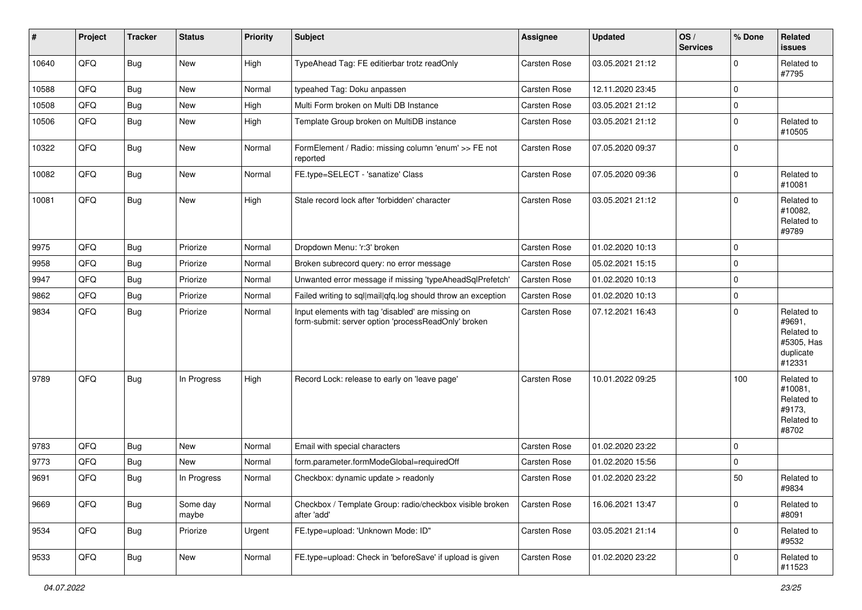| #     | Project | <b>Tracker</b> | <b>Status</b>     | <b>Priority</b> | Subject                                                                                                  | Assignee            | <b>Updated</b>   | OS/<br><b>Services</b> | % Done      | <b>Related</b><br>issues                                                |
|-------|---------|----------------|-------------------|-----------------|----------------------------------------------------------------------------------------------------------|---------------------|------------------|------------------------|-------------|-------------------------------------------------------------------------|
| 10640 | QFQ     | Bug            | <b>New</b>        | High            | TypeAhead Tag: FE editierbar trotz readOnly                                                              | Carsten Rose        | 03.05.2021 21:12 |                        | $\mathbf 0$ | Related to<br>#7795                                                     |
| 10588 | QFQ     | Bug            | New               | Normal          | typeahed Tag: Doku anpassen                                                                              | Carsten Rose        | 12.11.2020 23:45 |                        | $\mathbf 0$ |                                                                         |
| 10508 | QFQ     | Bug            | New               | High            | Multi Form broken on Multi DB Instance                                                                   | <b>Carsten Rose</b> | 03.05.2021 21:12 |                        | 0           |                                                                         |
| 10506 | QFQ     | Bug            | New               | High            | Template Group broken on MultiDB instance                                                                | Carsten Rose        | 03.05.2021 21:12 |                        | $\mathbf 0$ | Related to<br>#10505                                                    |
| 10322 | QFQ     | Bug            | New               | Normal          | FormElement / Radio: missing column 'enum' >> FE not<br>reported                                         | Carsten Rose        | 07.05.2020 09:37 |                        | 0           |                                                                         |
| 10082 | QFQ     | Bug            | <b>New</b>        | Normal          | FE.type=SELECT - 'sanatize' Class                                                                        | Carsten Rose        | 07.05.2020 09:36 |                        | $\mathbf 0$ | Related to<br>#10081                                                    |
| 10081 | QFQ     | Bug            | New               | High            | Stale record lock after 'forbidden' character                                                            | <b>Carsten Rose</b> | 03.05.2021 21:12 |                        | 0           | Related to<br>#10082,<br>Related to<br>#9789                            |
| 9975  | QFQ     | Bug            | Priorize          | Normal          | Dropdown Menu: 'r:3' broken                                                                              | Carsten Rose        | 01.02.2020 10:13 |                        | $\mathbf 0$ |                                                                         |
| 9958  | QFQ     | Bug            | Priorize          | Normal          | Broken subrecord query: no error message                                                                 | Carsten Rose        | 05.02.2021 15:15 |                        | 0           |                                                                         |
| 9947  | QFQ     | Bug            | Priorize          | Normal          | Unwanted error message if missing 'typeAheadSqlPrefetch'                                                 | Carsten Rose        | 01.02.2020 10:13 |                        | $\mathbf 0$ |                                                                         |
| 9862  | QFQ     | Bug            | Priorize          | Normal          | Failed writing to sql mail qfq.log should throw an exception                                             | Carsten Rose        | 01.02.2020 10:13 |                        | $\pmb{0}$   |                                                                         |
| 9834  | QFQ     | Bug            | Priorize          | Normal          | Input elements with tag 'disabled' are missing on<br>form-submit: server option 'processReadOnly' broken | Carsten Rose        | 07.12.2021 16:43 |                        | $\Omega$    | Related to<br>#9691,<br>Related to<br>#5305, Has<br>duplicate<br>#12331 |
| 9789  | QFQ     | Bug            | In Progress       | High            | Record Lock: release to early on 'leave page'                                                            | Carsten Rose        | 10.01.2022 09:25 |                        | 100         | Related to<br>#10081,<br>Related to<br>#9173,<br>Related to<br>#8702    |
| 9783  | QFQ     | Bug            | New               | Normal          | Email with special characters                                                                            | <b>Carsten Rose</b> | 01.02.2020 23:22 |                        | $\Omega$    |                                                                         |
| 9773  | QFQ     | Bug            | New               | Normal          | form.parameter.formModeGlobal=requiredOff                                                                | <b>Carsten Rose</b> | 01.02.2020 15:56 |                        | 0           |                                                                         |
| 9691  | QFQ     | <b>Bug</b>     | In Progress       | Normal          | Checkbox: dynamic update > readonly                                                                      | Carsten Rose        | 01.02.2020 23:22 |                        | 50          | Related to<br>#9834                                                     |
| 9669  | QFQ     | Bug            | Some day<br>maybe | Normal          | Checkbox / Template Group: radio/checkbox visible broken<br>after 'add'                                  | Carsten Rose        | 16.06.2021 13:47 |                        | $\pmb{0}$   | Related to<br>#8091                                                     |
| 9534  | QFQ     | Bug            | Priorize          | Urgent          | FE.type=upload: 'Unknown Mode: ID"                                                                       | Carsten Rose        | 03.05.2021 21:14 |                        | $\pmb{0}$   | Related to<br>#9532                                                     |
| 9533  | QFQ     | Bug            | New               | Normal          | FE.type=upload: Check in 'beforeSave' if upload is given                                                 | Carsten Rose        | 01.02.2020 23:22 |                        | 0           | Related to<br>#11523                                                    |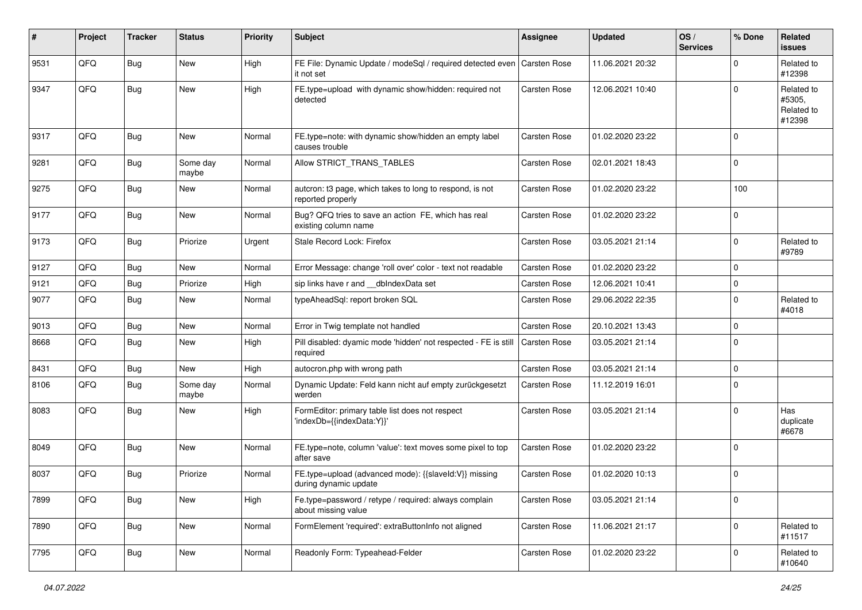| $\sharp$ | Project | <b>Tracker</b> | <b>Status</b>     | <b>Priority</b> | <b>Subject</b>                                                                             | <b>Assignee</b> | <b>Updated</b>   | OS/<br><b>Services</b> | % Done      | Related<br><b>issues</b>                     |
|----------|---------|----------------|-------------------|-----------------|--------------------------------------------------------------------------------------------|-----------------|------------------|------------------------|-------------|----------------------------------------------|
| 9531     | QFQ     | Bug            | New               | High            | FE File: Dynamic Update / modeSql / required detected even Carsten Rose<br>it not set      |                 | 11.06.2021 20:32 |                        | $\mathbf 0$ | Related to<br>#12398                         |
| 9347     | QFQ     | Bug            | New               | High            | FE.type=upload with dynamic show/hidden: required not<br>detected                          | Carsten Rose    | 12.06.2021 10:40 |                        | $\mathbf 0$ | Related to<br>#5305.<br>Related to<br>#12398 |
| 9317     | QFQ     | <b>Bug</b>     | New               | Normal          | FE.type=note: with dynamic show/hidden an empty label<br>causes trouble                    | Carsten Rose    | 01.02.2020 23:22 |                        | $\mathbf 0$ |                                              |
| 9281     | QFQ     | <b>Bug</b>     | Some day<br>maybe | Normal          | Allow STRICT TRANS TABLES                                                                  | Carsten Rose    | 02.01.2021 18:43 |                        | $\mathbf 0$ |                                              |
| 9275     | QFQ     | <b>Bug</b>     | New               | Normal          | autcron: t3 page, which takes to long to respond, is not<br>reported properly              | Carsten Rose    | 01.02.2020 23:22 |                        | 100         |                                              |
| 9177     | QFQ     | Bug            | New               | Normal          | Bug? QFQ tries to save an action FE, which has real<br>existing column name                | Carsten Rose    | 01.02.2020 23:22 |                        | $\mathbf 0$ |                                              |
| 9173     | QFQ     | Bug            | Priorize          | Urgent          | Stale Record Lock: Firefox                                                                 | Carsten Rose    | 03.05.2021 21:14 |                        | $\mathbf 0$ | Related to<br>#9789                          |
| 9127     | QFQ     | <b>Bug</b>     | New               | Normal          | Error Message: change 'roll over' color - text not readable                                | Carsten Rose    | 01.02.2020 23:22 |                        | $\mathbf 0$ |                                              |
| 9121     | QFQ     | <b>Bug</b>     | Priorize          | High            | sip links have r and __dbIndexData set                                                     | Carsten Rose    | 12.06.2021 10:41 |                        | $\mathbf 0$ |                                              |
| 9077     | QFQ     | <b>Bug</b>     | New               | Normal          | typeAheadSql: report broken SQL                                                            | Carsten Rose    | 29.06.2022 22:35 |                        | $\mathbf 0$ | Related to<br>#4018                          |
| 9013     | QFQ     | Bug            | New               | Normal          | Error in Twig template not handled                                                         | Carsten Rose    | 20.10.2021 13:43 |                        | $\mathbf 0$ |                                              |
| 8668     | QFQ     | Bug            | New               | High            | Pill disabled: dyamic mode 'hidden' not respected - FE is still   Carsten Rose<br>required |                 | 03.05.2021 21:14 |                        | $\mathbf 0$ |                                              |
| 8431     | QFQ     | Bug            | New               | High            | autocron.php with wrong path                                                               | Carsten Rose    | 03.05.2021 21:14 |                        | $\mathbf 0$ |                                              |
| 8106     | QFQ     | Bug            | Some day<br>maybe | Normal          | Dynamic Update: Feld kann nicht auf empty zurückgesetzt<br>werden                          | Carsten Rose    | 11.12.2019 16:01 |                        | $\mathbf 0$ |                                              |
| 8083     | QFQ     | <b>Bug</b>     | New               | High            | FormEditor: primary table list does not respect<br>'indexDb={{indexData:Y}}'               | Carsten Rose    | 03.05.2021 21:14 |                        | $\mathbf 0$ | Has<br>duplicate<br>#6678                    |
| 8049     | QFQ     | Bug            | New               | Normal          | FE.type=note, column 'value': text moves some pixel to top<br>after save                   | Carsten Rose    | 01.02.2020 23:22 |                        | $\Omega$    |                                              |
| 8037     | QFQ     | <b>Bug</b>     | Priorize          | Normal          | FE.type=upload (advanced mode): {{slaveId:V}} missing<br>during dynamic update             | Carsten Rose    | 01.02.2020 10:13 |                        | $\mathbf 0$ |                                              |
| 7899     | QFQ     | <b>Bug</b>     | New               | High            | Fe.type=password / retype / required: always complain<br>about missing value               | Carsten Rose    | 03.05.2021 21:14 |                        | $\mathbf 0$ |                                              |
| 7890     | QFQ     | <b>Bug</b>     | New               | Normal          | FormElement 'required': extraButtonInfo not aligned                                        | Carsten Rose    | 11.06.2021 21:17 |                        | $\pmb{0}$   | Related to<br>#11517                         |
| 7795     | QFQ     | <b>Bug</b>     | New               | Normal          | Readonly Form: Typeahead-Felder                                                            | Carsten Rose    | 01.02.2020 23:22 |                        | $\pmb{0}$   | Related to<br>#10640                         |